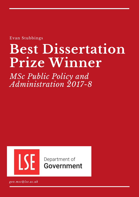Evan Stubbings

# **Best Dissertation Prize Winner**

*MSc Public Policy and Administration 2017-8*



Department of **Government** 

*gov.msc@lse.ac.uk*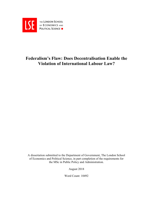

# **Federalism's Flaw: Does Decentralisation Enable the Violation of International Labour Law?**

A dissertation submitted to the Department of Government, The London School of Economics and Political Science, in part completion of the requirements for the MSc in Public Policy and Administration.

August 2018

Word Count: 10492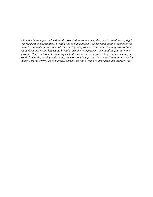*While the ideas expressed within this dissertation are my own, the road traveled in crafting it was far from companionless. I would like to thank both my advisor and another professor for their investments of time and patience during this process. Your collective suggestions have made for a more complete study. I would also like to express my profoundest gratitude to my parents, Heidi and Rick, for helping make this experience possible. I hope to have made you proud. To Cassie, thank you for being my most loyal supporter. Lastly, to Diana, thank you for being with me every step of the way. There is no one I would rather share this journey with.*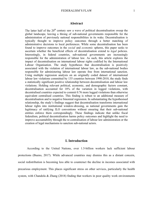# **Abstract**

The latter half of the  $20<sup>th</sup>$  century saw a wave of political decentralisation sweep the global landscape, leaving a throng of sub-national governments responsible for the administration of previously national responsibilities in its wake. Decentralisation is typically thought to improve policy outcomes through a better matching of administrative decisions to local preferences. While some decentralisation has been found to improve outcomes in the *social* and *economic* spheres, this paper seeks to ascertain whether the beneficial effects of decentralisation extend to *legal* policies. Interestingly, in federal countries, sub-national governments are increasingly responsible for the administration of labour law. As such, this article explores the impact of decentralisation on international labour rights codified by the International Labour Organisation. The study hypotheses that decentralisation is positively associated with the violation of international labour law, as the sub-national bodies responsible for administering labour law operate free from international sanction. Using multiple regression analysis on an originally coded dataset of international labour law violations committed by 135 countries between 1990-2010, the study finds a statistically significant positive relationship between decentralisation and labour law violations. Holding relevant political, economic, and demographic factors constant, decentralisation accounted for 18% of the variation in logged violations, with decentralised countries expected to commit 0.76 more logged violations than otherwise equivalent centralised countries. This finding is robust to an additional measure of decentralisation and to negative binomial regression. In substantiating the hypothesised relationship, the study's findings suggest that decentralisation transforms international labour rights into institutional window-dressing, as national governments gain the legitimacy of ratifying ILO conventions without ensuring that their sub-national entities enforce them correspondingly. These findings indicate that unlike fiscal federalism, political decentralisation harms policy outcomes and highlight the need to improve accountability through the re-centralisation of labour law administration or the creation of legal mechanisms to sanction sub-national actors.

## **I. Introduction**

According to the United Nations, over 1.5-billion workers lack sufficient labour protections (Bueno, 2017). While advanced countries may dismiss this as a distant concern, social redistribution is becoming less able to counteract the decline in incomes associated with precarious employment. This places significant stress on other services, particularly the health system, with Chandola & Zhang (2018) finding that workers in poor quality work environments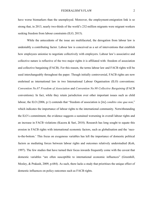have worse biomarkers than the unemployed. Moreover, the employment-emigration link is so strong that, in 2013, nearly two-thirds of the world's 232-million migrants were migrant workers seeking freedom from labour constraints (ILO, 2015).

While the antecedents of the issue are multifaceted, the derogation from labour law is undeniably a contributing factor. Labour law is conceived as a set of interventions that establish how employees unionise to negotiate collectively with employers. Labour law's associative and collective nature is reflective of the two major rights it is affiliated with: freedom of association and collective bargaining (FACB). For this reason, the terms labour law and FACB rights will be used interchangeably throughout the paper. Though initially controversial, FACB rights are now enshrined as international law in two International Labour Organisation (ILO) conventions: *Convention No.87 Freedom of Association* and *Convention No.98 Collective Bargaining* (FACB conventions). In fact, while they retain jurisdiction over other important issues such as child labour, the ILO (2006, p.1) contends that "freedom of association is [its] *conditio sine qua non*," which indicates the importance of labour rights to the international community. Notwithstanding the ILO's commitment, the evidence suggests a sustained worsening in overall labour rights and an increase in FACB violations (Kucera  $\&$  Sari, 2018). Research has long sought to equate this erosion in FACB rights with international economic factors, such as globalisation and the 'raceto-the-bottom.' This focus on exogenous variables has left the importance of domestic political factors as mediating forces between labour rights and outcomes relatively understudied (Koh, 1997). The few studies that have turned their focus inwards frequently come with the caveat that domestic variables "are often susceptible to international economic influences" (Greenhill, Mosley, & Prakash, 2009, p.684). As such, there lacks a study that prioritises the unique effect of domestic influences on policy outcomes such as FACB rights.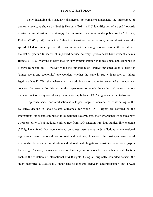Notwithstanding this scholarly disinterest, policymakers understand the importance of domestic levers, as shown by Goel & Nelson's (2011, p.486) identification of a trend "towards greater decentralization as a strategy for improving outcomes in the public sector." In fact, Rodden (2006, p.1-2) argues that "other than transitions to democracy, decentralization and the spread of federalism are perhaps the most important trends in governance around the world over the last 50 years." In search of improved service delivery, governments have evidently taken Brandeis' (1932) warning to heart that "to stay experimentation in things social and economic is a grave responsibility." However, while the importance of iterative implementation is clear for 'things social and economic,' one wonders whether the same is true with respect to 'things legal,' such as FACB rights, where consistent administration and enforcement take primacy over concerns for novelty. For this reason, this paper seeks to remedy the neglect of domestic factors on labour outcomes by considering the relationship between FACB rights and decentralisation.

Topicality aside, decentralisation is a logical target to consider as contributing to the collective decline in labour-related outcomes, for while FACB rights are codified on the international stage and committed to by national governments, their enforcement is increasingly a responsibility of sub-national entities free from ILO sanction. Previous studies, like Morantz (2009), have found that labour-related outcomes were worse in jurisdictions where national regulations were devolved to sub-national entities; however, the as-to-yet overlooked relationship between decentralisation and international obligations constitutes a cavernous gap in knowledge. As such, the research question the study purports to solve is whether decentralisation enables the violation of international FACB rights. Using an originally compiled dataset, the study identifies a statistically significant relationship between decentralisation and FACB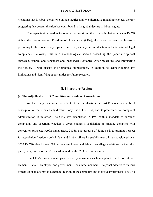violations that is robust across two unique metrics and two alternative modeling choices, thereby suggesting that decentralisation has contributed to the global decline in labour rights.

The paper is structured as follows. After describing the ILO body that adjudicates FACB rights, the Committee on Freedom of Association (CFA), the paper reviews the literature pertaining to the model's key topics of interests, namely decentralisation and international legal compliance. Following this is a methodological section describing the paper's empirical approach, sample, and dependent and independent variables. After presenting and interpreting the results, it will discuss their practical implications, in addition to acknowledging any limitations and identifying opportunities for future research.

# **II. Literature Review**

#### **(a) The Adjudicator: ILO Committee on Freedom of Association**

As the study examines the effect of decentralisation on FACB violations, a brief description of the relevant adjudicative body, the ILO's CFA, and its procedures for complaint administration is in order. The CFA was established in 1951 with a mandate to consider complaints and ascertain whether a given country's legislation or practice complies with convention-protected FACB rights (ILO, 2006). The purpose of doing so is to promote respect for associative freedoms both in law and in fact. Since its establishment, it has considered over 3000 FACB-related cases. While both employers and labour can allege violations by the other party, the great majority of cases addressed by the CFA are union-initiated.

The CFA's nine-member panel expertly considers each complaint. Each constitutive element – labour, employer, and government – has three members. The panel adheres to various principles in an attempt to ascertain the truth of the complaint and to avoid arbitrariness. First, no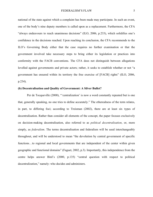national of the state against which a complaint has been made may participate. In such an event, one of the body's nine deputy members is called upon as a replacement. Furthermore, the CFA "always endeavours to reach unanimous decisions" (ILO, 2006, p.233), which solidifies one's confidence in the decisions reached. Upon reaching its conclusion, the CFA recommends to the ILO's Governing Body either that the case requires no further examination or that the government involved take necessary steps to bring either its legislation or practices into conformity with the FACB conventions. The CFA does not distinguish between allegations levelled against governments and private actors; rather, it seeks to establish whether or not "a government has ensured within its territory the free exercise of [FACB] rights" (ILO, 2006, p.234).

#### **(b) Decentralisation and Quality of Government: A Silver Bullet?**

Per de Tocqueville (2000), "'centralization' is now a word constantly repeated but is one that, generally speaking, no one tries to define accurately." The etherealness of the term relates, in part, to differing foci; according to Treisman (2002), there are at least six types of decentralisation. Rather than consider all elements of the concept, the paper focuses exclusively on decision-making decentralisation, also referred to as *political decentralisation*, or, more simply, as *federalism*. The terms decentralisation and federalism will be used interchangeably throughout, and will be understood to mean "the devolution by central government of specific functions...to regional and local governments that are independent of the center within given geographic and functional domains" (Faguet, 2002, p.3). Importantly, this independence from the centre helps answer Bird's (2000, p.135) "central question with respect to political decentralization," namely: who decides and administers.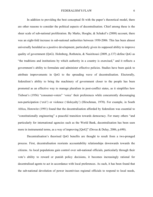In addition to providing the best conceptual fit with the paper's theoretical model, there are other reasons to consider the political aspects of decentralisation. Chief among these is the sheer scale of sub-national proliferation. By Marks, Hooghe, & Schakel's (2008) account, there was an eight-fold increase in sub-national authorities between 1950-2006. This has been almost universally heralded as a positive development, particularly given its supposed ability to improve quality of government (QoG). Holmberg, Rothstein, & Nasiritousi (2009, p.137) define QoG as "the traditions and institutions by which authority in a country is exercised," and it reflects a government's ability to formulate and administer effective policies. Studies have been quick to attribute improvements in QoG to the spreading wave of decentralisation. Electorally, federalism's ability to bring the machinery of government closer to the people has been promoted as an effective way to manage pluralism in post-conflict states, as it simplifies how Tiebout's (1956) "consumer-voters" 'voice' their preferences while concurrently discouraging non-participation ('exit') or violence ('disloyalty') (Hirschman, 1970). For example, in South Africa, Horowitz (1991) found that the decentralisation afforded by federalism was essential to "constitutionally engineering" a peaceful transition towards democracy. For many others "and particularly for international agencies such as the World Bank, decentralisation has been seen more in instrumental terms, as a way of improving [QoG]" (Devas & Delay, 2006, p.690).

Decentralisation's theorised QoG benefits are thought to result from a two-pronged process. First, decentralisation reorients accountability relationships downwards towards the citizens. As local populations gain control over sub-national officials, particularly through their vote's ability to reward or punish policy decisions, it becomes increasingly rational for decentralised agents to act in accordance with local preferences. As such, it has been found that the sub-national devolution of power incentivises regional officials to respond to local needs,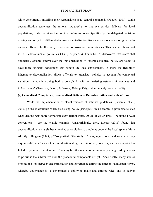while concurrently muffling their responsiveness to central commands (Faguet, 2011). While decentralisation generates the rational *imperative* to improve service delivery for local populations, it also provides the political *ability* to do so. Specifically, the delegated decisionmaking authority that differentiates true decentralisation from mere deconcentration gives subnational officials the flexibility to respond to proximate circumstances. This has been borne out in U.S. environmental policy, as Chang, Sigman, & Traub (2013) discovered that states that voluntarily assume control over the implementation of federal ecological policy are found to have more stringent regulations that benefit the local environment. In short, the flexibility inherent to decentralisation allows officials to 'translate' policies to account for contextual variation, thereby improving both a policy's fit with an "existing network of practices and infrastructure" (Sausman, Oborn, & Barrett, 2016, p.564), and, ultimately, service quality.

# **(c) Centralised Compliance, Decentralised Defiance? Decentralisation and Rule of Law**

While the implementation of "local versions of national guidelines" (Sausman et al., 2016, p.566) is desirable when discussing policy *principles*, this becomes a problematic vice when dealing with more formalistic *rules* (Braithwaite, 2002), of which laws – including FACB conventions – are the classic example. Unsurprisingly, then, Loeper (2011) found that decentralisation has rarely been invoked as a solution to problems beyond the fiscal sphere. More adroitly, Ellingsen (1998, p.266) posited, "the study of laws, regulations, and standards may require a different" view of decentralisation altogether. As of yet, however, such a viewpoint has failed to penetrate the literature. This may be attributable to definitional priming leading studies to prioritise the substantive over the procedural components of QoG. Specifically, many studies probing the link between decentralisation and governance define the latter in Fukuyaman terms, whereby governance is "a government's ability to make and enforce rules, and to deliver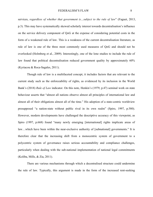services, *regardless of whether that government is…subject to the rule of law*" (Faguet, 2013, p.3). This may have systematically skewed scholarly interest towards decentralisation's influence on the service delivery component of QoG at the expense of considering potential costs in the form of a weakened rule of law. This is a weakness of the current decentralisation literature, as rule of law is one of the three most commonly used measures of QoG and should not be overlooked (Holmberg et al., 2009). Interestingly, one of the lone studies to include the rule of law found that political decentralisation reduced government quality by approximately 60% (Kyriacou & Roca-Sagales, 2011).

Though rule of law is a multifaceted concept, it includes factors that are relevant to the current study such as the enforceability of rights, as evidenced by its inclusion in the World Bank's (2018) *Rule of Law* indicator. On this note, Henkin's (1979, p.47) seminal work on state behaviour asserts that "almost all nations observe almost all principles of international law and almost all of their obligations almost all of the time." His adoption of a state-centric worldview presupposed "a nation-state without public rival in its own realm" (Spiro, 1997, p.580). However, modern developments have challenged the descriptive accuracy of this viewpoint, as Spiro (1997, p.668) found "many newly emerging [international] rights implicate areas of law…which have been within the near-exclusive authority of [subnational] governments." It is therefore clear that the increasing shift from a monocentric system of government to a polycentric system of governance raises serious accountability and compliance challenges, particularly when dealing with the sub-national implementation of national legal commitments (Koliba, Mills, & Zia, 2011).

There are various mechanisms through which a decentralised structure could undermine the rule of law. Typically, this argument is made in the form of the increased rent-seeking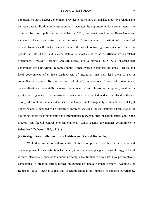opportunities that a deeper government provides. Studies have established a positive relationship between decentralisation and corruption, as it increases the opportunities for special interests to capture sub-national politicians (Goel & Nelson, 2011; Bardhan & Mookherjee, 2006). However, the more relevant mechanism for the purposes of this study is the institutional structure of decentralisation itself. As the principal item in the social contract, governments are required to uphold the rule of law, and, viewed statutorily, most countries have sufficient FACB-related protections. However, Berliner, Greeleaf, Lake, Levi, & Noveck (2015, p.36-37) argue that government officials within the same country "often diverge in interests and goals…central and local governments often have distinct sets of incentives that may lead them to act in contradictory ways." By introducing additional, autonomous layers of government, decentralisation exponentially increases the amount of veto players in the system, resulting in greater heterogeneity in administration than could be expected under centralised authority. Though desirable in the context of service delivery, this heterogeneity is the antithesis of legal policy, which is intended to be uniformly enforced. As such, the sub-national administration of key policy areas risks implicating the international responsibilities of nation-states, and in the process "pits federal control over [international] affairs against the nation's commitment to federalism" (Doherty, 1996, p.1281).

#### **(d) Strategic Decentralisation: False Positives and Radical Decoupling**

While decentralisation's detrimental effects on compliance have thus far been presented as a benign result of its institutional structure, some theoretical perspectives would suggest that it is more intentionally pursued to undermine compliance. Similar to how elites may pre-emptively democratise in order to attract further investment or subdue popular tensions (Acemoglu & Robinson, 2008), there is a risk that decentralisation is not pursued to enhance governance.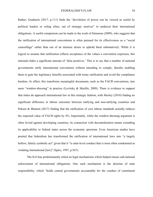Rather, Gradstein (2017, p.111) finds the "devolution of power can be viewed as useful by political leaders or ruling elites, out of strategic motives" to undercut their international obligations. A useful comparison can be made to the work of Simmons (2009), who suggests that the ratification of international conventions is often pursued for its effectiveness as a "social camouflage" rather than out of an intrinsic desire to uphold them substantively. While it is logical to assume that ratification reflects acceptance of the values a convention expresses, this rationale hides a significant amount of 'false positives.' This is to say that a number of national governments ratify international conventions without intending to comply, thereby enabling them to gain the legitimacy benefits associated with treaty ratification and avoid the compliance burdens. In effect, this transforms meaningful documents, such as the FACB conventions, into mere "window-dressing" in practice (Levitsky & Murillo, 2009). There is evidence to support that states do approach international law in this strategic fashion, with Mosley (2010) finding no significant difference in labour outcomes between ratifying and non-ratifying countries and Peksen & Blanton (2017) finding that the ratification of core labour standards actually reduces the expected value of FACB rights by 4%. Importantly, while the window-dressing argument is often levied against developing countries, its connection with decentralisation means extending its applicability to federal states across the economic spectrum. Even American studies have posited that federalism has transformed the ratification of international laws into "a largely hollow, falsely symbolic act" given that it "is state-level conduct that is most often condemned as violating international [law]" (Spiro, 1997, p.567).

The ILO has predominantly relied on legal mechanisms which helped ensure sub-national enforcement of international obligations. One such mechanism is the doctrine of state responsibility, which "holds central governments accountable for the conduct of constituent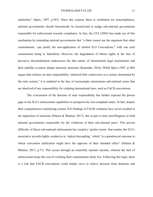authorities" (Spiro, 1997, p.567). Since this exposes them to retribution for noncompliance, national governments should theoretically be incentivised to nudge sub-national governments responsible for enforcement towards compliance. In fact, the CFA (2003) has made use of this mechanism by reminding national governments that "a State cannot use the argument that other commitments…can justify the non-application of ratified ILO Conventions," with one such commitment being to federalism. However, the degradation of labour rights in the face of pervasive decentralisation underscores the thin nature of international legal mechanisms and their inability to pierce deeper domestic structures (Kanetake, 2016). While Spiro (1997, p.580) argues that reliance on state responsibility "attracted little controversy in a century dominated by the state system," it is outdated in the face of increasingly autonomous sub-national actors that are absolved of any responsibility for violating international laws, such as FACB conventions.

The evisceration of the doctrine of state responsibility has further exposed the porous gaps in the ILO's enforcement capabilities to prospectively non-compliant states. In fact, despite their comprehensive monitoring system, ILO findings of FACB violations have never resulted in the imposition of sanctions (Peksen & Blanton, 2017), due in part to their unwillingness to hold national governments responsible for the violations of their sub-national peers. This proven difficulty of direct sub-national enforcement has created a 'perfect storm' that renders the ILO's associative accords highly conducive to 'radical decoupling,' which "is a paradoxical outcome in which convention ratification might have the opposite of their intended effect" (Peksen  $\&$ Blanton, 2017, p.77). This occurs through an ostensibly rational calculus, wherein the lack of enforcement keeps the cost of violating their commitments fairly low. Following this logic, there is a risk that FACB conventions could simply serve to relieve pressure from domestic and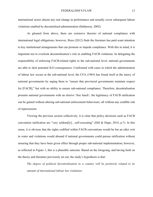international actors absent any real change in performance and actually cover subsequent labour violations enabled by decentralised administration (Hathaway, 2002).

As gleaned from above, there are extensive theories of national compliance with international legal obligations; however, Sloss (2012) finds the literature has paid scant attention to key institutional arrangements that can promote or impede compliance. With this in mind, it is important not to overlook decentralisation's role in enabling FACB violations. In delegating the responsibility of enforcing FACB-related rights to the sub-national level, national governments are able to skirt potential ILO consequences. Confronted with cases in which the administration of labour law occurs at the sub-national level, the CFA (1965) has found itself at the mercy of national governments by urging them to "ensure that provincial governments maintain respect for [FACB]," but with no ability to ensure sub-national compliance. Therefore, decentralisation presents national governments with an elusive 'free lunch'; the legitimacy of FACB ratification can be gained without altering sub-national enforcement behaviours, all without any credible risk of repercussion.

Viewing the previous section collectively, it is clear that policy decisions such as FACB convention ratification are "very seldom[ly]…self-executing" (Hill & Hupe, 2014, p.7). In this sense, it is obvious that the rights codified within FACB conventions would be but an edict writ in water and violations would abound if national governments could pursue ratification without ensuring that they have been given effect through proper sub-national implementation; however, as reflected in Figure 1, this is a plausible outcome. Based on the foregoing, and having built on the theory and literature previously set out, the study's hypothesis is that:

*The degree of political decentralisation in a country will be positively related to its amount of international labour law violations.*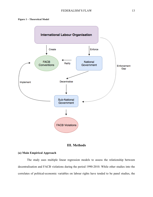

# **III. Methods**

# **(a) Main Empirical Approach**

The study uses multiple linear regression models to assess the relationship between decentralisation and FACB violations during the period 1990-2010. While other studies into the correlates of political-economic variables on labour rights have tended to be panel studies, the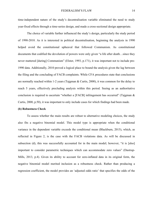time-independent nature of the study's decentralisation variable eliminated the need to study year-fixed effects through a time-series design, and made a cross-sectional design appropriate.

The choice of variable further influenced the study's design, particularly the study period of 1990-2010. As it is interested in political decentralisation, beginning the analysis in 1990 helped avoid the constitutional upheaval that followed Communism. As constitutional documents that codified the devolution of powers were only given "a life after death…since they never mattered [during] Communism" (Elster, 1993, p.171), it was important not to include pre-1990 data. Additionally, 2010 proved a logical place to bound the analysis given the lag between the filing and the concluding of FACB complaints. While CFA procedures state that conclusions are normally reached within 1-2 years (Tajgman & Curtis, 2000), it was common for the delay to reach 5 years, effectively precluding analysis within this period. Seeing as an authoritative conclusion is required to ascertain "whether a [FACB] infringement has occurred" (Tajgman & Curtis, 2000, p.50), it was important to only include cases for which findings had been made.

## **(b) Robustness Check**

To assess whether the main results are robust to alternative modeling choices, the study also fits a negative binomial model. This model type is appropriate when the conditional variance in the dependent variable exceeds the conditional mean (Blackburn, 2015), which, as reflected in Figure 2, is the case with the FACB violations data. As will be discussed in subsection (d), this was successfully accounted for in the main model; however, "it is [also] important to consider parametric techniques which can accommodate zero values" (Dastrup-Mills, 2013, p.4). Given its ability to account for zero-inflated data in its original form, the negative binomial model merited inclusion as a robustness check. Rather than producing a regression coefficient, the model provides an 'adjusted odds ratio' that specifies the odds of the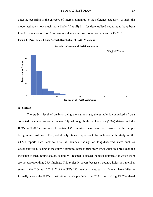outcome occurring in the category of interest compared to the reference category. As such, the model estimates how much more likely (if at all) it is for decentralised countries to have been found in violation of FACB conventions than centralised countries between 1990-2010.





# **(c) Sample**

The study's level of analysis being the nation-state, the sample is comprised of data collected on numerous countries (*n*=135). Although both the Treisman (2008) dataset and the ILO's *NORMLEX* system each contain 156 countries, there were two reasons for the sample being more constrained. First, not all subjects were appropriate for inclusion in the study. As the CFA's reports date back to 1952, it includes findings on long-dissolved states such as Czechoslovakia. Seeing as the study's temporal horizon runs from 1990-2010, this precluded the inclusion of such defunct states. Secondly, Treisman's dataset includes countries for which there are no corresponding CFA findings. This typically occurs because a country holds non-member status in the ILO; as of 2018, 7 of the UN's 193 member-states, such as Bhutan, have failed to formally accept the ILO's constitution, which precludes the CFA from making FACB-related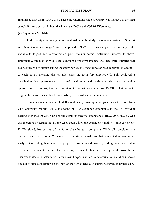findings against them (ILO, 2014). These preconditions aside, a country was included in the final sample if it was present in both the Treisman (2008) and *NORMLEX* sources.

#### **(d) Dependent Variable**

In the multiple linear regressions undertaken in the study, the outcome variable of interest is *FACB Violations (logged*) over the period 1990-2010. It was appropriate to subject the variable to logarithmic transformation given the non-normal distribution referred to above. Importantly, one may only take the logarithm of positive integers. As there were countries that did not record a violation during the study period, the transformation was achieved by adding 1 to each count, meaning the variable takes the form *log(violations+1)*. This achieved a distribution that approximated a normal distribution and made multiple linear regression appropriate. In contrast, the negative binomial robustness check uses FACB violations in its original form given its ability to successfully fit over-dispersed count data.

The study operationalises FACB violations by creating an original dataset derived from CFA complaint reports. While the scope of CFA-examined complaints is vast, it "avoid[s] dealing with matters which do not fall within its specific competence" (ILO, 2006, p.233). One can therefore be certain that all the cases upon which the dependent variable is built are strictly FACB-related, irrespective of the form taken by each complaint. While all complaints are publicly listed on the *NORMLEX* system, they take a textual form that is unsuited to quantitative analysis. Converting them into the appropriate form involved manually coding each complaint to determine the result reached by the CFA, of which there are two general possibilities: unsubstantiated or substantiated. A third result-type, in which no determination could be made as a result of non-cooperation on the part of the respondent, also exists; however, as proper CFA-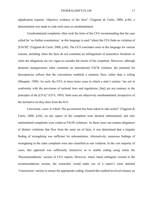adjudication requires "objective evidence of the facts" (Tajgman & Curtis, 2000, p.46), a determination was made to code such cases as unsubstantiated.

Unsubstantiated complaints often took the form of the CFA recommending that the case called for 'no further examination,' as this language is used "where the CFA finds no violation of [FACB]" (Tajgman & Curtis, 2000, p.66). The CFA concludes cases in this language for various reasons, including when the facts do not constitute an infringement of associative freedoms or when the allegations are too vague to consider the merits of the complaint. Moreover, although domestic transgressions often constitute an international FACB violation, the potential for discrepancies reflects that the conventions establish a statutory floor, rather than a ceiling (Maupain, 1998). As such, the CFA at times hears cases in which a state's actions "are not in conformity with the provisions of national laws and regulations, [but] are not contrary to the principles of the [CFA]" (CFA, 1993). Said cases are objectively unsubstantiated, irrespective of the normative ire they draw from the ILO.

Conversely, cases in which "the government has been asked to take action" (Tajgman & Curtis, 2000, p.66), on any aspect of the complaint were deemed substantiated, and only substantiated complaints were coded as FACB violations. As these cases can contain allegations of distinct violations that flow from the same set of facts, it was determined that a singular finding of wrongdoing was sufficient for substantiation. Alternatively, numerous findings of wrongdoing in the same complaint were also classified as one violation. In the vast majority of cases, this approach was sufficiently instructive as to enable coding using solely the 'Recommendations' section of CFA reports. However, where latent ambiguity existed in the recommendations section, the researcher would make use of a report's more detailed 'Conclusions' section to ensure the appropriate coding. Granted this method involved reliance on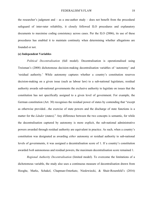the researcher's judgment and – as a one-author study – does not benefit from the procedural safeguard of inter-rater reliability, it closely followed ILO procedures and explanatory documents to maximise coding consistency across cases. Per the ILO (2006), its use of these procedures has enabled it to maintain continuity when determining whether allegations are founded or not.

## **(e) Independent Variables**

*Political Decentralisation* (full model). Decentralisation is operationalised using Treisman's (2008) dichotomous decision-making decentralisation variables of 'autonomy' and 'residual authority.' While autonomy captures whether a country's constitution reserves decision-making on a given issue (such as labour law) to a sub-national legislature, residual authority awards sub-national governments the exclusive authority to legislate on issues that the constitution has not specifically assigned to a given level of government. For example, the German constitution (Art. 30) recognises the residual power of states by contending that "except as otherwise provided…the exercise of state powers and the discharge of state functions is a matter for the *Länder* (states)." Any difference between the two concepts is semantic, for while the decentralisation captured by autonomy is more explicit, the sub-national administrative powers awarded through residual authority are equivalent in practice. As such, when a country's constitution was designated as awarding *either* autonomy or residual authority to sub-national levels of governments, it was assigned a decentralisation score of 1. If a country's constitution awarded *both* autonomous and residual powers, the maximum decentralisation score remained 1.

*Regional Authority Decentralisation* (limited model). To overcome the limitations of a dichotomous variable, the study also uses a continuous measure of decentralisation drawn from Hooghe, Marks, Schakel, Chapman-Osterkatz, Niedzwiecki, & Shair-Rosenfeld's (2016)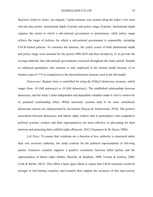*Regional Authority Index*. An original, 7-point measure was created using the index's two most relevant data points: institutional depth (3-point) and policy range (4-point). Institutional depth captures the extent to which a sub-national government is autonomous, while policy range reflects the range of policies for which a sub-national government is responsible, including FACB-related policies. To construct the measure, the yearly scores of both institutional depth and policy range were summed for the period 1990-2010 and then divided by 21 to provide the average authority that sub-national governments exercised throughout the study period. Despite its enhanced granularity, this measure is only employed in the limited model because of its limited scope (*n*=71) in comparison to the decentralisation measure used in the full model.

*Democracy*. Regime form is controlled for using the Polity2 democracy measure, which ranges from -10 (full autocracy) to 10 (full democracy). The established relationships between democracy and the study's main independent and dependent variables made it vital to control for its potential confounding effect. While autocratic systems tend to be more centralised, democratic nations are characterised by devolution (Stoyan & Niedzwiecki, 2018). The positive association between democracy and labour rights reflects that in participative and competitive political systems, workers and their representatives are more effective in advocating for their interests and protecting their codified rights (Ronconi, 2012; Neumayer & De Soysa, 2006).

*Left Party*. To ensure that violations are a function of *how* authority is structured rather than *who* exercises authority, the study controls for the political representation of left-wing parties. Extensive research supports a positive correlation between leftist parties and the representation of labour rights (Huber, Mustillo, & Stephens, 2008; Iversen & Soskice, 2006; Cook & Bazler, 2013). This offers a basis upon which to expect that FACB outcomes would be stronger in left-leaning countries, and research does support the existence of this state-society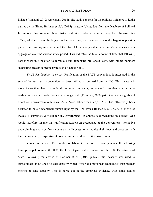linkage (Ronconi, 2012; Amengual, 2014). The study controls for the political influence of leftist parties by modifying Berliner et al.'s (2015) measure. Using data from the Database of Political Institutions, they summed three distinct indicators: whether a leftist party held the executive office, whether it was the largest in the legislature, and whether it was the largest opposition party. The resulting measure could therefore take a yearly value between 0-3, which was then aggregated over the current study period. This indicates the total amount of time that left-wing parties were in a position to formulate and administer pro-labour laws, with higher numbers suggesting greater domestic protection of labour rights.

*FACB Ratification (in years)*. Ratification of the FACB conventions is measured in the sum of the years each convention has been ratified, as derived from the ILO. This measure is more instructive than a simple dichotomous indicator, as – similar to democratisation – ratification may need to be "radical and long-lived" (Treisman, 2000, p.401) to have a significant effect on downstream outcomes. As a 'core labour standard,' FACB has effectively been declared to be a fundamental human right by the UN, which Bellace (2001, p.272-273) argues makes it "extremely difficult for any government…to oppose acknowledging this right." One would therefore assume that ratification reflects an acceptance of the conventions' normative underpinnings and signifies a country's willingness to harmonise their laws and practices with the ILO standard, irrespective of how decentralised their political structure is.

*Labour Inspectors*. The number of labour inspectors per country was collected using three principal sources: the ILO, the U.S. Department of Labor, and the U.S. Department of State. Following the advice of Berliner et al. (2015, p.129), this measure was used to approximate labour-specific state capacity, which "offer[s] a more nuanced picture" than broader metrics of state capacity. This is borne out in the empirical evidence, with some studies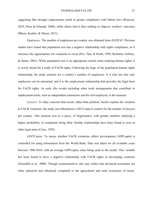suggesting that stronger inspectorates result in greater compliance with labour laws (Ronconi, 2010; Piore & Schrank, 2008), while others find it does nothing to improve workers' outcomes (Bhora, Kanbur, & Mayet, 2012).

*Employees*. The number of employees per country was obtained from *ILOSTAT*. Previous studies have found that population size has a negative relationship with rights compliance, as it increases the opportunities for violations to occur (Poe, Tate, & Keith, 1999; Richards, Gelleny, & Sacko, 2001). While population size is an appropriate control when studying human rights, it is overly broad for a study of FACB rights. Following the logic of the population-human rights relationship, the study controls for a country's number of employees. It is trite law that only employees can be unionised, and it is the employment relationship that provides the legal basis for FACB rights. As such, this avoids including other work arrangements that contribute to employment totals, such as independent contractors and the self-employed, in the measure.

*Lawyers*. To allay concerns that social, rather than political, factors explain the variation in FACB violations, the study uses Michelson's (2013) data to control for the number of lawyers per country. This measure acts as a proxy of litigiousness, with greater numbers implying a higher probability of complaints being filed. Similar relationships have been found to exist in other legal areas (Cross, 1992).

*GDP/Capita*. To assess whether FACB violations reflect development, GDP/capita is controlled for using information from the World Bank. Data was taken for all available years between 1990-2010, with an average GDP/capita value being used in the model. This variable has been found to have a negative relationship with FACB rights in developing countries (Greenhill et al., 2009). Though counterintuitive, this may reflect that advanced economies are often industrial and urbanised, compared to the agricultural and rural economies of lesser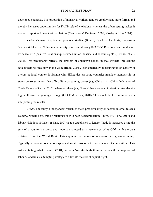developed countries. The proportion of industrial workers renders employment more formal and thereby increases opportunities for FACB-related violations, whereas the urban setting makes it easier to report and detect said violations (Neumayer & De Soysa, 2006; Mosley & Uno, 2007).

*Union Density*. Replicating previous studies (Botero, Djankov, La Porta, Lopez-de-Silanes, & Shleifer, 2004), union density is measured using *ILOSTAT*. Research has found some evidence of a positive relationship between union density and labour rights (Berliner et al., 2015). This presumably reflects the strength of collective action, in that workers' protections reflect their political power and voice (Budd, 2004). Problematically, measuring union density in a cross-national context is fraught with difficulties, as some countries mandate membership in state-sponsored unions that afford little bargaining power (e.g. China's All-China Federation of Trade Unions) (Rudra, 2012), whereas others (e.g. France) have weak unionisation rates despite high collective bargaining coverage (OECD & Visser, 2018). This should be kept in mind when interpreting the results.

*Trade*. The study's independent variables focus predominantly on factors internal to each country. Nonetheless, trade's relationship with both decentralisation (Spiro, 1997; Fry, 2017) and labour violations (Mosley  $&$  Uno, 2007) is too established to ignore. Trade is measured using the sum of a country's exports and imports expressed as a percentage of its GDP, with the data obtained from the World Bank. This captures the degree of openness in a given economy. Typically, economic openness exposes domestic workers to harsh winds of competition. This risks initiating what Drezner (2001) terms a 'race-to-the-bottom' in which the abrogation of labour standards is a tempting strategy to alleviate the risk of capital flight.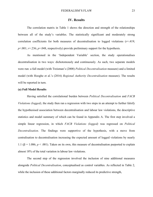## **IV. Results**

The correlation matrix in Table 1 shows the direction and strength of the relationships between all of the study's variables. The statistically significant and moderately strong correlation coefficients for both measures of decentralisation to logged violations  $(r=419;$ *p*<.001; *r*=.236; *p*=.048, respectively) provide preliminary support for the hypothesis.

As mentioned in the 'Independent Variable' section, the study operationalises decentralisation in two ways: dichotomously and continuously. As such, two separate models were run: a full model (with Treisman's (2008) *Political Decentralisation* measure) and a limited model (with Hooghe et al.'s (2016) *Regional Authority Decentralisation* measure). The results will be reported in turn.

# **(a) Full Model Results**

Having satisfied the correlational burden between *Political Decentralisation* and *FACB Violations (logged)*, the study then ran a regression with two steps in an attempt to further falsify the hypothesised association between decentralisation and labour law violations, the descriptive statistics and model summary of which can be found in Appendix A. The first step involved a simple linear regression, in which *FACB Violations (logged)* was regressed on *Political Decentralisation*. The findings were supportive of the hypothesis, with a move from centralisation to decentralisation increasing the expected amount of logged violations by nearly 1.1 (β = 1.086;  $p < .001$ ). Taken on its own, this measure of decentralisation purported to explain almost 18% of the total variation in labour law violations.

The second step of the regression involved the inclusion of nine additional measures alongside *Political Decentralisation*, conceptualised as control variables. As reflected in Table 2, while the inclusion of these additional factors marginally reduced its predictive strength,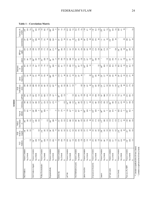|                                                              |                     |                      | FACB                   | Political           |                       |                  |                  | FACB                       |                      | Employees                             |                      |                     |                             |                                  |
|--------------------------------------------------------------|---------------------|----------------------|------------------------|---------------------|-----------------------|------------------|------------------|----------------------------|----------------------|---------------------------------------|----------------------|---------------------|-----------------------------|----------------------------------|
|                                                              |                     | Violations<br>FACB   | Violations<br>(logged) | Decentralisati<br>5 | Regional<br>Authority | Democracy        | Left Party       | Ratification (in<br>years) | Inspectors<br>Labour | thousands)<br>₿                       | Lawyers              | GDP (per<br>capita) | Union Density               | Trade (as a %<br>of GDP)         |
| FACB Violations                                              | Pearson Correlation |                      | 799 <sup>"</sup>       | 469                 | 223                   | .169             | $\tilde{5}$      | 89                         | $-029$               | SS.                                   | .176                 | $-043$              | $-207$                      | $-239$                           |
|                                                              | Sig. (2-tailed)     |                      | g                      | g                   | <b>GS</b>             | 060              | 912              | SS <sub>3</sub>            | 785                  | 545                                   | ă                    | $62^{\circ}$        | 930                         | ăg                               |
|                                                              | z                   | 135                  | 135                    | $\frac{55}{2}$      | π                     | 135              | 135              | 135                        | ऊ                    | 135                                   | $\frac{15}{25}$      | 134                 | జ                           | 134                              |
| FACB Violations (logged)                                     | Pearson Correlation | 799                  |                        | 419                 | 236                   | 167              | 037              | .066                       | 037                  | .144                                  | $260^{\degree}$      | $\approx$           | .279                        | 241                              |
|                                                              | Sig. (2-tailed)     | Sö                   |                        | So                  | 38                    | G3               | 670              | 450                        | 721                  | <b>GO</b>                             | 500                  | 27                  | 009                         | ăg                               |
|                                                              | $\geq$              | 135                  | 135                    | 135                 | Σ                     | 135              | 135              | 135                        | ਡ                    | 135                                   | 135                  | 134                 | 8                           | 134                              |
| Political Decentralisation                                   | Pearson Correlation | 469                  | $\frac{1}{4}$          |                     | 609                   | 219              | $\tilde{c}$      | $\approx$                  | 35                   | 150                                   | 415                  | 130                 | $\frac{118}{11}$            | $-166$                           |
|                                                              | Sig. (2-tailed)     | g                    | $\frac{8}{2}$          |                     | go                    | 024              | $\mathbb{S}^5$   | 387                        | .758                 | 114                                   | g                    | 173                 | 312                         | $\widetilde{\mathbf{g}}$         |
|                                                              | $\geq$              | 135                  | $\frac{135}{25}$       | 135                 | Ν                     | 135              | 113              | 135                        | ऊ                    | 135                                   | 135                  | 134                 | 3                           | 134                              |
| Regional Authority                                           | Pearson Correlation | 223                  | ้ว8<br>236             | ំខ្ល                |                       | 137              | $\approx$        | $-022$                     | នៃ                   | 439                                   | $\overline{397}$     | <u>้วูล</u>         | $-063$                      | ់នៃ                              |
|                                                              | Sig. (2-tailed)     | .062                 | 36                     | g                   |                       | 274              | 407              | $\overline{\phantom{0}}85$ | g                    | BOO.                                  | š                    | $\frac{2}{3}$       | 625                         | <b>GO</b>                        |
|                                                              | $\geq$              | $\overline{r}$       | $\overline{r}$         | Ν                   | Σ                     | Ν                | ř                | Η                          | ř                    | Η                                     | Н                    | ř                   | Σ                           | ř                                |
| Democracy                                                    | Pearson Correlation | .169                 | 167                    | 719<br>ب            | 137                   |                  | 357              | -275                       | $-144$               | $-075$                                | .170                 | 440                 | $\overline{5}$              | 147                              |
|                                                              | Sig. (2-tailed)     | 060                  | $\mathbf{g}$           | 024                 | 274                   |                  | goo.             | 002                        | 177                  | Ş                                     | 58                   | SOO.                | 923                         | $\leq$                           |
|                                                              | $\geq$              | 135                  | 135                    | 135                 | Η                     | 135              | 135              | 135                        | ਡ                    | 135                                   | 135                  | $\frac{34}{3}$      | SS                          | 134                              |
| Left Party                                                   | Pearson Correlation | $\frac{6}{10}$       | <b>CSD</b>             | $\frac{2}{5}$       | $\tilde{5}$           | 357              |                  | 380                        | 188                  | .163                                  | 169                  | $\frac{1}{2}$       | .102                        | $-013$                           |
|                                                              | Sig. (2-tailed)     | 912                  | 670                    | 395                 | 407                   | ag               |                  | 317                        | 070                  | $95^{\circ}$                          | 049                  | 197                 | $\overline{35}$             | $\overset{\sim}{\phantom{\sim}}$ |
|                                                              | $\geq$              | 135                  | 135                    | 135                 | Σ                     | 135              | 135              | 135                        | వే                   | 135                                   | 135                  | 134                 | 8                           | 134                              |
| FACB Ratification (in years)                                 | Pearson Correlation | .058                 | 66                     | $\Xi$               | 022                   | 275              | <b>380</b>       |                            | $-197$               | $229$ <sup><math>\degree</math></sup> | 315                  | É                   | $\frac{312}{2}$             | 024                              |
|                                                              | Sig. (2-tailed)     | $\mathbb{S}08$       | 450                    | 58 <sub>7</sub>     | 58                    | $\overline{002}$ | 317              |                            | 57                   | <b>SOO</b>                            | 012                  | 247                 | $\tilde{5}$                 | .779                             |
|                                                              | $\geq$              | 135                  | 135                    | 135                 | 7                     | 135              | 135              | 135                        | ऊ                    | 135                                   | 135                  | 134                 | జ                           | 134                              |
| Labour Inspectors                                            | Pearson Correlation | .029                 | 037                    | 35                  | ទ្រ                   | $-144$           | 188              | $-197$                     |                      | <b>SI</b>                             | 229                  | ξġ                  | 097                         | $-189$                           |
|                                                              | Sig. (2-tailed)     | .785                 | .721                   | .758                | BÖ                    | 177              | 070              | <b>GO</b>                  |                      | SO.                                   | 027                  | $963$               | 429                         | 071                              |
|                                                              | $\geq$              | <u>ង</u>             | ऊ                      | 2                   | Σ                     | ऊ                | S,               | ऊ                          | వే                   | వే                                    | ਡ                    | ऊँ                  | 38                          | ਡੋ                               |
| Employees (in thousands)                                     | Pearson Correlation | <b>CS3</b>           | .144                   | .150                | 439                   | $-075$           | .163             | $.29^{\circ}$              | <b>isi</b>           |                                       | 465                  | ິຣິ                 | 55                          | $rac{8}{1}$                      |
|                                                              | Sig. (2-tailed)     | 545                  | 50                     | 114                 | $\mathsf{SO}_{2}$     | 40 <sup>1</sup>  | $\frac{8}{2}$    | 50.00                      | g                    |                                       | $\mathsf{SO}$        | 824                 | $\tilde{5}$                 | $022\,$                          |
|                                                              | $\geq$              | 135                  | $\frac{55}{25}$        | 135                 | Σ                     | 135              | 135              | 135                        | ऊ                    | 135                                   | 135                  | $\frac{34}{2}$      | 3                           | 134                              |
| Lawyers                                                      | Pearson Correlation | .176                 | 260                    | 415                 | 397                   | 170              | ្មែ              | $-215$                     | 229                  | 465                                   |                      | ່ຊື                 | Filt-                       | $-276$                           |
|                                                              | Sig. (2-tailed)     | $\Xi$                | $\Xi$                  | $\mathsf{SO}$       | ē,                    | 058              | 349              | $\Xi$                      | 027                  | $\mathbb{S}$                          |                      | 5 <sup>o</sup>      | $\overline{\mathbb{H}}$     | $\tilde{g}$                      |
|                                                              | $\geq$              | $135$                | 135                    | $^{135}$            | Σ                     | $\frac{15}{2}$   | 135              | 135                        | 3                    | 135                                   | 135                  | 134                 | 36                          | $\frac{5}{2}$                    |
| GDP (per capita)                                             | Pearson Correlation | $-043$               | .106                   | 130                 | 294                   | 440              | $\frac{11}{2}$   | $\approx$                  | ăg                   | ero                                   | 209                  |                     | $\overline{\overline{379}}$ | 245                              |
|                                                              | Sig. (2-tailed)     | $\tilde{\mathbb{S}}$ | 27                     | .173                | $\Xi$                 | $\mathsf{SO}$    | 197              | 247                        | 963                  | 824                                   | 5 <sup>o</sup>       |                     | $\mathsf{SO}$               | $\approx$                        |
|                                                              | $\geq$              | $\frac{23}{2}$       | $13$                   | 133                 | Ν                     | 134              | 134              | 134                        | ऊ                    | 134                                   | 134                  | $\frac{34}{2}$      | 38                          | 134                              |
| Union Density                                                | Pearson Correlation | $-207$               | .279                   | $\frac{8}{11}$      | .063                  | $\overline{5}$   | 102              | 312                        | 50                   | 59                                    | Ħ                    | 379                 |                             | 86                               |
|                                                              | Sig. (2-tailed)     | <b>990</b>           | go                     | 312                 | 625                   | 923              | $\overline{35}$  | $\tilde{e}$                | 429                  | $\Xi$                                 | $\overleftarrow{31}$ | <b>SO</b>           |                             | 437                              |
|                                                              | $\geq$              | 3                    | 8                      | 38                  | Ľ.                    | SS               | 8                | ၼ                          | జ                    | 8                                     | జ                    | 3                   | జ                           | 38                               |
| Trade (as a % of GDP)                                        | Pearson Correlation | $-239$               | $\frac{1}{241}$        | .166                | $^{156}$              | 147              | $\frac{1}{2}$    | 024                        | $\frac{8}{100}$      | $\frac{98}{1}$                        | $-276$               | 245                 | 86                          |                                  |
|                                                              | Sig. (2-tailed)     | $\frac{8}{2}$        | 005                    | <b>SS</b>           | $\approx$             | 104              | $\mathbb{S}^2_2$ | .779                       | $\overline{5}$       | 022                                   | ă                    | å                   | 437                         |                                  |
|                                                              | $\geq$              | 134                  | 134                    | 134                 | Σ                     | 134              | 134              | $\frac{34}{2}$             | ऊ                    | 134                                   | 134                  | $\frac{34}{2}$      | 38                          | 134                              |
| **. Correlation is significant at the 0.01 level (2-tailed). |                     |                      |                        |                     |                       |                  |                  |                            |                      |                                       |                      |                     |                             |                                  |
| *. Correlation is significant at the 0.05 level (2-tailed).  |                     |                      |                        |                     |                       |                  |                  |                            |                      |                                       |                      |                     |                             |                                  |

#### **Table 1 – Correlation Matrix**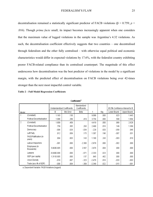decentralisation remained a statistically significant predictor of FACB violations (β = 0.759; *p* = .016). Though *prima facie* small, its impact becomes increasingly apparent when one considers that the maximum value of logged violations in the sample was Argentina's 4.32 violations. As such, the decentralisation coefficient effectively suggests that two countries – one decentralised through federalism and the other fully centralised – with otherwise equal political and economic characteristics would differ in expected violations by 17.6%, with the federalist country exhibiting poorer FACB-related compliance than its centralised counterpart. The magnitude of this effect underscores how decentralisation was the best predictor of violations in the model by a significant margin, with the predicted effect of decentralisation on FACB violations being over 42-times stronger than the next most impactful control variable.

|  |  |  |  |  | <b>Table 2 - Full Model Regression Coefficients</b> |
|--|--|--|--|--|-----------------------------------------------------|
|--|--|--|--|--|-----------------------------------------------------|

|       |                                        |                             |            | Standardized |          |      |                                 |             |
|-------|----------------------------------------|-----------------------------|------------|--------------|----------|------|---------------------------------|-------------|
|       |                                        | Unstandardized Coefficients |            | Coefficients |          |      | 95.0% Confidence Interval for B |             |
| Model |                                        | В                           | Std. Error | Beta         |          | Sig. | Lower Bound                     | Upper Bound |
|       | (Constant)                             | 1.183                       | .130       |              | 9.088    | .000 | .923                            | 1.443       |
|       | <b>Political Decentralisation</b>      | 1.086                       | .289       | .419         | 3.754    | .000 | .508                            | 1.664       |
| 2     | (Constant)                             | 1.809                       | .409       |              | 4.419    | .000 | .989                            | 2.628       |
|       | <b>Political Decentralisation</b>      | .759                        | .305       | .293         | 2.490    | .016 | .149                            | 1.369       |
|       | Democracy                              | $-006$                      | .026       | $-034$       | $-229$   | .820 | $-058$                          | .046        |
|       | Left Party                             | .012                        | .009       | .175         | 1.307    | .196 | $-007$                          | .031        |
|       | <b>FACB Ratification (in</b><br>years) | .004                        | .003       | .143         | 1.180    | .243 | $-003$                          | .010        |
|       | Labour Inspectors                      | $-.001$                     | .000       | $-2.306$     | $-2.878$ | .006 | $-002$                          | .000        |
|       | Employees (in<br>thousands)            | 5.993E-005                  | .000       | 2.567        | 2.976    | .004 | .000                            | .000        |
|       | Lawyers                                | $-6.640E - 006$             | .000       | $-671$       | $-2.333$ | .023 | .000                            | .000        |
|       | GDP (per capita)                       | 1.311E-005                  | .000       | .137         | .845     | .402 | .000                            | .000        |
|       | Union Density                          | $-.018$                     | .007       | $-323$       | $-2.476$ | .016 | $-033$                          | $-003$      |
|       | Trade (as a % of GDP)                  | $-008$                      | .004       | $-0.309$     | $-2.349$ | .022 | $-015$                          | $-.001$     |

Coefficients<sup>a</sup>

a. Dependent Variable: FACB Violations (logged)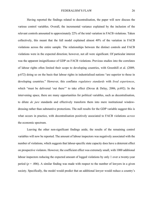Having reported the findings related to decentralisation, the paper will now discuss the various control variables. Overall, the incremental variance explained by the inclusion of the relevant controls amounted to approximately 22% of the total variation in FACB violations. Taken collectively, this meant that the full model explained almost 40% of the variation in FACB violations across the entire sample. The relationships between the distinct controls and FACB violations were in the expected direction; however, not all were significant. Of particular interest was the apparent insignificance of GDP on FACB violations. Previous studies into the correlates of labour rights often limited their scope to developing countries, with Greenhill et al. (2009, p.672) doing so on the basis that labour rights in industrialised nations "are superior to those in developing countries." However, this conflates *regulatory standards* with *lived experiences*, which "must be delivered 'out there'" to take effect (Devas & Delay, 2006, p.692). In the intervening space, there are many opportunities for political variables, such as decentralisation, to dilute *de jure* standards and effectively transform them into mere institutional windowdressing rather than substantive protections. The null results for the GDP variable suggest this is what occurs in practice, with decentralisation positively associated to FACB violations *across* the economic spectrum.

Leaving the other non-significant findings aside, the results of the remaining control variables will now be reported. The amount of labour inspectors was negatively associated with the number of violations, which suggests that labour-specific state capacity does have a deterrent effect on prospective violators. However, the coefficient effect was extremely small, with 1000 additional labour inspectors reducing the expected amount of logged violations by only 1 over a twenty-year period ( $p = .006$ ). A similar finding was made with respect to the number of lawyers in a given society. Specifically, the model would predict that an additional lawyer would reduce a country's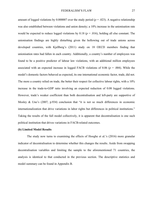amount of logged violations by 0.000007 over the study period ( $p = .023$ ). A negative relationship was also established between violations and union density; a 10% increase in the unionisation rate would be expected to reduce logged violations by  $0.18$  ( $p = .016$ ), holding all else constant. The unionisation findings are highly disturbing given the hollowing out of trade unions across developed countries, with Kjellberg's (2011) study on 18 OECD members finding that unionisation rates had fallen in each country. Additionally, a country's number of employees was found to be a positive predictor of labour law violations, with an additional million employees associated with an expected increase in logged FACB violations of 0.06 (*p* = .004). While the model's domestic factors behaved as expected, its one international economic factor, trade, did not. The more a country relied on trade, the better their respect for collective labour rights, with a 10% increase in the trade-to-GDP ratio involving an expected reduction of 0.08 logged violations. However, trade's weaker coefficient than both decentralisation and left-party are supportive of Mosley & Uno's (2007, p.934) conclusion that "it is not so much differences in economic internationalization that drive variations in labor rights but differences in political institutions." Taking the results of the full model collectively, it is apparent that decentralisation is one such political institution that drives variations in FACB-related outcomes.

#### **(b) Limited Model Results**

The study now turns to examining the effects of Hooghe et al.'s (2016) more granular indicator of decentralisation to determine whether this changes the results. Aside from swapping decentralisation variables and limiting the sample to the aforementioned 71 countries, the analysis is identical to that conducted in the previous section. The descriptive statistics and model summary can be found in Appendix B.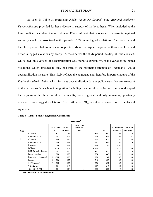As seen in Table 3, regressing *FACB Violations (logged)* onto *Regional Authority Decentralisation* provided further evidence in support of the hypothesis. When included as the lone predictor variable, the model was 90% confident that a one-unit increase in regional authority would be associated with upwards of .24 more logged violations. The model would therefore predict that countries on opposite ends of the 7-point regional authority scale would differ in logged violations by nearly 1.5 cases across the study period, holding all else constant. On its own, this version of decentralisation was found to explain 6% of the variation in logged violations, which amounts to only one-third of the predictive strength of Treisman's (2008) decentralisation measure. This likely reflects the aggregate and therefore imperfect nature of the *Regional Authority Index*, which includes decentralisation data on policy areas that are irrelevant to the current study, such as immigration. Including the control variables into the second step of the regression did little to alter the results, with regional authority remaining positively associated with logged violations ( $\beta$  = .120; *p* = .091), albeit at a lower level of statistical significance.

|       |                              |                             |            | Coefficients <sup>a</sup>    |          |      |             |                                 |
|-------|------------------------------|-----------------------------|------------|------------------------------|----------|------|-------------|---------------------------------|
|       |                              | Unstandardized Coefficients |            | Standardized<br>Coefficients |          |      |             | 90.0% Confidence Interval for B |
| Model |                              | В                           | Std. Error | Beta                         |          | Sig. | Lower Bound | Upper Bound                     |
|       | (Constant)                   | 1.317                       | .246       |                              | 5.352    | .000 | .906        | 1.729                           |
|       | Regional Authority           | .104                        | .058       | .236                         | 1.800    | .077 | .007        | .201                            |
| 2     | (Constant)                   | 1.855                       | .842       |                              | 2.204    | .033 | .442        | 3.268                           |
|       | Regional Authority           | .120                        | .069       | .270                         | 1.727    | .091 | .003        | .236                            |
|       | Democracy                    | .080                        | .087       | .198                         | .920     | .362 | -.066       | .227                            |
|       | Left Party                   | $-013$                      | .011       | $-150$                       | $-1.164$ | .250 | $-032$      | .006                            |
|       | FACB Ratification (in years) | .002                        | .005       | .072                         | .492     | .625 | $-005$      | .010                            |
|       | Labour Inspectors            | .000                        | .000       | $-141$                       | $-774$   | .443 | $-.001$     | .000                            |
|       | Employees (in thousands)     | 1.589E-005                  | .000       | .293                         | .950     | .347 | .000        | .000                            |
|       | Lawyers                      | 3.419E-008                  | .000       | .004                         | .014     | .989 | .000        | .000                            |
|       | GDP (per capita)             | $-5.752E - 005$             | .000       | - 535                        | $-1.954$ | .057 | .000        | .000                            |
|       | Union Density                | .001                        | .013       | .023                         | .107     | .915 | - 020       | .023                            |
|       | Trade (as a % of GDP).       | $-004$                      | nn4        | $-154$                       | - 985    | 330  | $-011$      | nna                             |

**Table 3 – Limited Model Regression Coefficients**

a. Dependent Variable: FACB Violations (logged)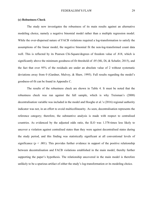## **(c) Robustness Check**

The study now investigates the robustness of its main results against an alternative modeling choice, namely a negative binomial model rather than a multiple regression model. While the over-dispersed nature of FACB violations required a log-transformation to satisfy the assumptions of the linear model, the negative binomial fit the non-log-transformed count data well. This is reflected by its Pearson Chi-Square/degrees of freedom value of .818, which is significantly above the minimum goodness-of-fit threshold of .05 (Mi, Di, & Schafer, 2015), and the fact that over 95% of the residuals are under an absolute value of 2 without systematic deviations away from 0 (Gardner, Mulvey, & Shaw, 1995). Full results regarding the model's goodness-of-fit can be found in Appendix C.

The results of the robustness check are shown in Table 4. It must be noted that the robustness check was run against the full sample, which is why Treisman's (2008) decentralisation variable was included in the model and Hooghe et al.'s (2016) regional authority indicator was not, in an effort to avoid multicollinearity. As seen, decentralisation represents the reference category; therefore, the substantive analysis is made with respect to centralised countries. As evidenced by the adjusted odds ratio, the ILO was 1.378-times less likely to uncover a violation against centralised states than they were against decentralised states during the study period, and this finding was statistically significant at all conventional levels of significance ( $p < .001$ ). This provides further evidence in support of the positive relationship between decentralisation and FACB violations established in the main model, thereby further supporting the paper's hypothesis. The relationship uncovered in the main model is therefore unlikely to be a spurious artifact of either the study's log-transformation or its modeling choice.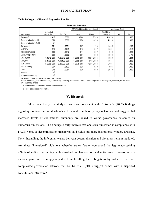**Parameter Estimates** 

|                         |                 |             | 95% Wald Confidence Interval |                 |           | <b>Hypothesis Test</b> |      |
|-------------------------|-----------------|-------------|------------------------------|-----------------|-----------|------------------------|------|
|                         | Adjusted        |             |                              |                 | Wald Chi- |                        |      |
| Parameter               | Odds Ratio      | Std. Error  | Lower                        | Upper           | Square    | df                     | Sig. |
| (Intercept)             | 4.417           | .6896       | 3.066                        | 5.769           | 41.028    |                        | .000 |
| [Decentralisation=.00]  | $-1.378$        | .3569       | $-2.078$                     | $-679$          | 14.918    |                        | .000 |
| [Decentralisation=1.00] | 0ª              |             |                              |                 |           |                        |      |
| Democracy               | .071            | .0551       | $-0.37$                      | .179            | 1.645     |                        | .200 |
| LeftParty               | .018            | .0145       | $-.010$                      | .047            | 1.561     |                        | .212 |
| RatificationYears       | $-.002$         | .0047       | $-.011$                      | .007            | .246      |                        | .620 |
| Labourinspectors        | .000            | .0002       | $-.001$                      | .000            | 1.810     |                        | .178 |
| Employees               | 1.464E-005      | 1.2567E-005 | $-9.988E - 006$              | 3.927E-005      | 1.358     |                        | .244 |
| Lawyers                 | $-2.478E - 006$ | 1.9343E-006 | $-6.269E - 006$              | 1.313E-006      | 1.641     |                        | .200 |
| GDPCapita               | $-5.205E-005$   | 2.2868E-005 | $-9.687E - 005$              | $-7.231E - 006$ | 5.181     |                        | .023 |
| UnionDensity            | $-.001$         | .0122       | $-0.25$                      | .023            | .006      |                        | .938 |
| Trade                   | $-.018$         | .0051       | $-.028$                      | $-008$          | 12.978    |                        | .000 |
| (Scale)                 | , b             |             |                              |                 |           |                        |      |
| (Negative binomial)     | , b             |             |                              |                 |           |                        |      |

#### **Table 4 – Negative Binomial Regression Results**

Dependent Variable: Substantiated Complaints

Model: (Intercept), Decentralisation, Democracy, LeftParty, RatificationYears, LabourInspectors, Employees, Lawyers, GDPCapita, UnionDensity, Trade

a. Set to zero because this parameter is redundant.

b. Fixed at the displayed value.

# **V. Discussion**

Taken collectively, the study's results are consistent with Treisman's (2002) findings regarding political decentralisation's detrimental effects on policy outcomes, and suggest that increased levels of sub-national autonomy are linked to worse governance outcomes on numerous dimensions. The findings clearly indicate that one such dimension is compliance with FACB rights, as decentralisation transforms said rights into mere institutional window-dressing. Notwithstanding, the inferential waters between decentralisation and violations remain muddied. Are these 'intentional' violations whereby states further compound the legitimacy-seeking effects of radical decoupling with devolved implementation and enforcement powers, or are national governments simply impeded from fulfilling their obligations by virtue of the more complicated governance network that Koliba et al. (2011) suggest comes with a dispersed constitutional structure?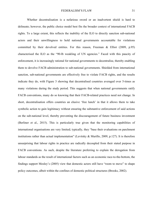Whether decentralisation is a nefarious sword or an inadvertent shield is hard to delineate; however, the public choice model best fits the broader context of international FACB rights. To a large extent, this reflects the inability of the ILO to directly sanction sub-national actors and their unwillingness to hold national governments accountable for violations committed by their devolved entities. For this reason, Freeman & Elliot (2009, p.95) characterised the ILO as the "90-lb weakling of UN agencies." Faced with this paucity of enforcement, it is increasingly rational for national governments to decentralise, thereby enabling them to devolve FACB administration to sub-national governments. Shielded from international sanction, sub-national governments are effectively free to violate FACB rights, and the results indicate they do, with Figure 3 showing that decentralised countries averaged over 5-times as many violations during the study period. This suggests that when national governments ratify FACB conventions, many do so knowing that their FACB-related practices need not change. In short, decentralisation offers countries an elusive 'free lunch' in that it allows them to take symbolic action to gain legitimacy without ensuring the substantive enforcement of said actions on the sub-national level, thereby preventing the discouragement of future business investment (Berliner et al., 2015). This is particularly true given that the monitoring capabilities of international organisations are very limited; typically, they "base their evaluations on parchment institutions rather than actual implementation" (Levitsky & Murillo, 2009, p.127). It is therefore unsurprising that labour rights in practice are radically decoupled from their stated purpose in FACB conventions. As such, despite the literature preferring to explain the derogation from labour standards as the result of international factors such as an economic race-to-the-bottom, the findings support Mosley's (2005) view that domestic actors still have "room to move" to shape policy outcomes, albeit within the confines of domestic political structures (Brooks, 2002).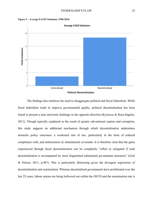



The findings also reinforce the need to disaggregate political and fiscal federalism. While fiscal federalism tends to improve governmental quality, political decentralisation has been found to present a near-universal challenge in the opposite direction (Kyriacou & Roca-Sagales, 2011). Though typically explained as the result of greater sub-national capture and corruption, this study suggests an additional mechanism through which decentralisation undermines domestic policy outcomes: a weakened rule of law, particularly in the form of reduced compliance with, and enforcement of, international covenants. It is therefore clear that the gains experienced through fiscal decentralisation can be completely "offset or mitigated if such decentralization is accompanied by more fragmented subnational government structures" (Goel & Nelson, 2011, p.487). This is particularly distressing given the divergent trajectories of decentralisation and unionisation. Whereas decentralised governments have proliferated over the last 25 years, labour unions are being hollowed out within the OECD and the unionisation rate is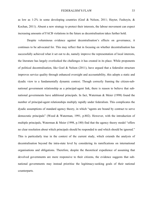as low as 1-2% in some developing countries (Goel & Nelson, 2011; Hayter, Fashoyin, & Kochan, 2011). Absent a new strategy to protect their interests, the labour movement can expect increasing amounts of FACB violations in the future as decentralisation takes further hold.

Despite voluminous evidence against decentralisation's effects on governance, it continues to be advocated for. This may reflect that in focusing on whether decentralisation has successfully achieved what it set out to do, namely improve the representation of local interests, the literature has largely overlooked the challenges it has created in its place. While proponents of political decentralisation, like Goel & Nelson (2011), have argued that a federalist structure improves service quality through enhanced oversight and accountability, this adopts a static and dyadic view to a fundamentally dynamic context. Though correctly framing the citizen-subnational government relationship as a principal-agent link, there is reason to believe that subnational governments have additional principals. In fact, Waterman & Meier (1998) found the number of principal-agent relationships multiply rapidly under federalism. This complicates the dyadic assumptions of standard agency theory, in which "agents are bound by contract to serve democratic principals" (Wood & Waterman, 1991, p.802). However, with the introduction of multiple principals, Waterman & Meier (1998, p.180) find that the agency theory model "offers" no clear resolution about which principals should be responded to and which should be ignored." This is particularly true in the context of the current study, which extends the analysis of decentralisation beyond the intra-state level by considering its ramifications on international organisations and obligations. Therefore, despite the theoretical expedience of assuming that devolved governments are more responsive to their citizens, the evidence suggests that subnational governments may instead prioritise the legitimacy-seeking goals of their national counterparts.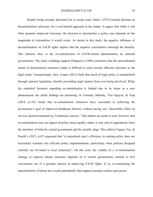Despite being strongly advocated for in recent years, Oates' (1972) seminal theorem on decentralisation advocates for a cost-benefit approach to the matter. It argues that while it will often generate improved outcomes, the decision to decentralise a policy area depends on the magnitude of externalities it would create. As shown in this study, the negative influence of decentralisation on FACB rights implies that the negative externalities outweigh the benefits. One solution, then, is the re-centralisation of FACB-related administration by national governments. The study's findings support Ellingsen's (1998) conclusion that the uncoordinated nature of decentralised structures makes it difficult to yield socially efficient outcomes in the legal realm. Unsurprisingly, then, Loeper (2011) finds that much of legal policy is standardised through national legislation, thereby precluding legal matters from ever being devolved. While the empirical literature regarding re-centralisation is limited due to its status as a new phenomenon, the initial findings are promising. In Vietnam, Malesky, Viet Nguyen, & Tran (2014, p.145) found that re-centralisation initiatives have succeeded in achieving the government's goal of improved healthcare delivery without having any "discernible effect on services deemed important by Vietnamese citizens." The authors are quick to note, however, that re-centralisation may not impact all policy areas equally; rather, it may only be appropriate when the priorities of both the central government and the locality align. This reflects Faguet, Fox,  $\&$ Poschl's (2015, p.67) argument that "a centralized state's efficiency in making policy does not necessarily translate into efficient policy implementation, particularly when policies designed centrally are ill-suited to local [interests]." On this note, the validity of a re-centralisation strategy to improve labour outcomes depends on if central governments commit to ILO conventions out of a genuine interest in improving FACB rights. If so, re-centralising the administration of labour law would undoubtedly find support amongst workers and unions.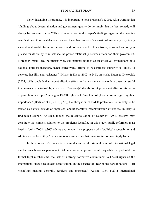Notwithstanding its promise, it is important to note Treisman's (2002, p.33) warning that "findings about decentralization and government quality do not imply that the best remedy will always be re-centralization." This is because despite this paper's findings regarding the negative ramifications of political decentralisation, the enhancement of sub-national autonomy is typically viewed as desirable from both citizens and politicians alike. For citizens, devolved authority is praised for its ability to re-balance the power relationship between them and their government. Moreover, many local politicians view sub-national politics as an effective 'springboard' into national politics; therefore, taken collectively, efforts to re-centralise authority is "likely to generate hostility and resistance" (Myers & Dietz, 2002, p.246). As such, Eaton & Dickovick (2004, p.98) conclude that re-centralisation efforts in Latin America have only proven successful in contexts characterised by crisis, as it "weaken[s] the ability of pro-decentralization forces to oppose these attempts." Seeing as FACB rights lack "any kind of global norm recognizing their importance" (Berliner et al, 2015, p.52), the abrogation of FACB protections is unlikely to be treated as a crisis outside of organised labour; therefore, recentralisation efforts are unlikely to find much support. As such, though the re-centralisation of countries' FACB systems may constitute the simplest solution to the problems identified in this study, public reformers must heed Alford's (2008, p.360) advice and temper their proposals with "political acceptability and administrative feasibility," which are two prerequisites that re-centralisation seemingly lacks.

In the absence of a domestic structural solution, the strengthening of international legal mechanisms becomes paramount. While a softer approach would arguably be preferable to formal legal mechanisms, the lack of a strong normative commitment to FACB rights on the international stage necessitates juridification. In the absence of "fear on the part of nations…[of] violat[ing] maxims generally received and respected" (Austin, 1954, p.201) international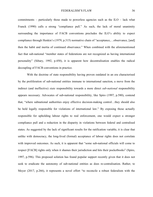commitments – particularly those made to powerless agencies such as the ILO – lack what Franck (1990) calls a strong "compliance pull." As such, the lack of moral unanimity surrounding the importance of FACB conventions precludes the ILO's ability to expect compliance through Henkin's (1979, p.315) normative chain of "acceptance,…observance, [and] then the habit and inertia of continued observance." When combined with the aforementioned fact that sub-national "member states of federations are not recognized as having international personality" (Sibary, 1992, p.450), it is apparent how decentralisation enables the radical decoupling of FACB conventions in practice.

With the doctrine of state responsibility having proven outdated in an era characterised by the proliferation of sub-national entities immune to international sanction, a move from the indirect (and ineffective) *state* responsibility towards a more direct *sub-national* responsibility appears necessary. Advocates of sub-national responsibility, like Spiro (1997, p.580), contend that, "where subnational authorities enjoy effective decision-making control…they should also be held legally responsible for violations of international law." By exposing those actually responsible for upholding labour rights to real enforcement, one would expect a stronger compliance pull and a reduction in the disparity in violations between federal and centralised states. As suggested by the lack of significant results for the ratification variable, it is clear that unlike with democracy, the long-lived (formal) acceptance of labour rights does not correlate with improved outcomes. As such, it is apparent that "some sub-national officials will come to respect [FACB] rights only when it shames their jurisdiction and hits their pocketbooks" (Spiro, 1997, p.596). This proposed solution has found popular support recently given that it does not seek to eradicate the autonomy of sub-national entities as does re-centralisation. Rather, to Meyer (2017, p.266), it represents a novel effort "to reconcile a robust federalism with the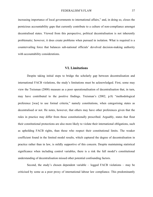increasing importance of local governments to international affairs," and, in doing so, closes the pernicious accountability gaps that currently contribute to a culture of non-compliance amongst decentralised states. Viewed from this perspective, political decentralisation is not inherently problematic; however, it does create problems when pursued in isolation. What is required is a countervailing force that balances sub-national officials' devolved decision-making authority with accountability considerations.

# **VI. Limitations**

Despite taking initial steps to bridge the scholarly gap between decentralisation and international FACB violations, the study's limitations must be acknowledged. First, some may view the Treisman (2008) measure as a poor operationalisation of decentralisation that, in turn, may have contributed to the positive findings. Treisman's (2002, p.8) "methodological preference [was] to use formal criteria," namely constitutions, when categorising states as decentralised or not. He notes, however, that others may have other preferences given that the rules in practice may differ from those constitutionally prescribed. Arguably, states that flout their constitutional protections are also more likely to violate their international obligations, such as upholding FACB rights, than those who respect their constitutional limits. The weaker coefficient found in the limited model results, which captured the degree of decentralisation in practice rather than in law, is mildly supportive of this concern. Despite maintaining statistical significance when including control variables, there is a risk the full model's constitutional understanding of decentralisation missed other potential confounding factors.

Second, the study's chosen dependent variable – logged FACB violations – may be criticised by some as a poor proxy of international labour law compliance. This predominantly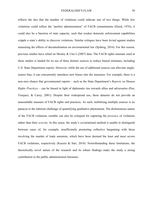reflects the fact that the number of violations could indicate one of two things. While few violations could reflect the "perfect administration" of FACB commitments (Hood, 1976), it could also be a function of state capacity, such that weaker domestic enforcement capabilities cripple a state's ability to discover violations. Similar critiques have been levied against studies measuring the effects of decentralisation on environmental law (Sjoberg, 2016). For this reason, previous studies have relied on Mosley & Uno's (2007) data. The FACB rights measure used in these studies is lauded for its use of three distinct sources to reduce biased estimates, including U.S. State Department reports. However, while the use of additional sources can alleviate singlesource bias, it can concurrently introduce new biases into the measures. For example, there is a non-zero chance that governmental reports – such as the State Department's *Reports on Human Rights Practices* – can be biased in light of diplomatic ties towards allies and adversaries (Poe, Vazquez, & Carey, 2001). Despite their widespread use, these datasets do not provide an unassailable measure of FACB rights and practices. As such, mobilising multiple sources is no panacea to the inherent challenge of quantifying qualitative phenomena. The dichotomous nature of the FACB violations variable can also be critiqued for capturing the *presence* of violations rather than their *severity*. In this sense, the study's covariational method is unable to distinguish between cases of, for example, insufficiently promoting collective bargaining with those involving the murder of trade unionists, which have been deemed the least and most severe FACB violations, respectively (Kucera & Sari, 2018). Notwithstanding these limitations, the theoretically novel nature of the research and its robust findings make the study a strong contribution to the public administration literature.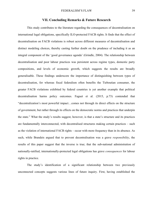## **VII. Concluding Remarks & Future Research**

This study contributes to the literature regarding the consequences of decentralisation on international legal obligations, specifically ILO-protected FACB rights. It finds that the effect of decentralisation on FACB violations is robust across different measures of decentralisation and distinct modeling choices, thereby casting further doubt on the prudence of including it as an integral component of the 'good governance agenda' (Grindle, 2004). The relationship between decentralisation and poor labour practices was persistent across regime types, domestic party compositions, and levels of economic growth, which suggests the results are broadly generalisable. These findings underscore the importance of distinguishing between types of decentralisation, for whereas fiscal federalism often benefits the Tieboutian consumer, the greater FACB violations exhibited by federal countries is yet another example that political decentralisation harms policy outcomes. Faguet et al. (2015, p.73) contended that "decentralization's most powerful impact…comes not through its direct effects on the structure of government, but rather through its effects on the democratic norms and practices that underpin the state." What the study's results suggest, however, is that a state's structure and its practices are fundamentally interconnected, with decentralised structures making certain practices – such as the violation of international FACB rights – occur with more frequency than in its absence. As such, while Brandeis argued that to prevent decentralisation was a grave *responsibility*, the results of this paper suggest that the inverse is true; that the sub-national administration of nationally-ratified, internationally-protected legal obligations has grave *consequences* for labour rights in practice.

The study's identification of a significant relationship between two previously unconnected concepts suggests various lines of future inquiry. First, having established the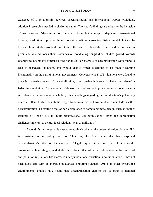existence of a relationship between decentralisation and international FACB violations, additional research is needed to clarify its nature. The study's findings are robust to the inclusion of two measures of decentralisation, thereby capturing both conceptual depth and cross-national breadth, in addition to proving the relationship's validity across two distinct model choices. To this end, future studies would do well to take the positive relationship discovered in this paper as given and instead focus their resources on conducting longitudinal studies geared towards establishing a temporal ordering of the variables. For example, if decentralisation were found to lead to increased violations, this would enable firmer assertions to be made regarding intentionality on the part of national governments. Conversely, if FACB violations were found to precede increasing levels of decentralisation, a reasonable inference is that states viewed a federalist devolution of power as a viable structural reform to improve domestic governance in accordance with conventional scholarly understandings regarding decentralisation's potentially remedial effect. Only when studies begin to address this will we be able to conclude whether decentralisation is a strategic tool of non-compliance or something more benign, such as another example of Hood's (1974) "multi-organisational sub-optimisation" given the coordination challenges inherent to central-local relations (Mah & Hills, 2014).

Second, further research is needed to establish whether the decentralisation-violation link is consistent across policy domains. Thus far, the few studies that have explored decentralisation's effect on the exercise of legal responsibilities have been limited to the environment. Interestingly, said studies have found that while the sub-national enforcement of anti-pollution regulations has increased inter-jurisdictional variation in pollution levels, it has not been associated with an increase in average pollution (Sigman, 2014). In other words, the environmental studies have found that decentralisation enables the tailoring of national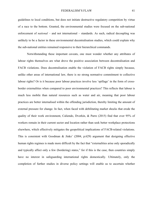guidelines to local conditions, but does not initiate destructive regulatory competition by virtue of a race to the bottom. Granted, the environmental studies were focused on the sub-national enforcement of *national* – and not international – standards. As such, radical decoupling was unlikely to be a factor in these environmental decentralisation studies, which could explain why the sub-national entities remained responsive to their hierarchical commands.

Notwithstanding these important caveats, one must wonder whether any attributes of labour rights themselves are what drove the positive association between decentralisation and FACB violations. Does decentralisation enable the violation of FACB rights simply because, unlike other areas of international law, there is no strong normative commitment to collective labour rights? Or is it because poor labour practices involve less 'spillage' in the form of crossborder externalities when compared to poor environmental practices? This reflects that labour is much less mobile than natural resources such as water and air, meaning that poor labour practices are better internalised within the offending jurisdiction, thereby limiting the amount of external pressure for change. In fact, when faced with debilitating market shocks that erode the quality of their work environment, Caliendo, Dvorkin, & Parro (2015) find that over 95% of workers remain in their current sector and location rather than seek better workplace protections elsewhere, which effectively mitigates the geopolitical implications of FACB-related violations. This is consistent with Goodman & Jinks' (2004, p.629) argument that designing effective human rights regimes is made more difficult by the fact that "externalities arise only sporadically and typically affect only a few (bordering) states," for if this is the case, then countries simply have no interest in safeguarding international rights domestically. Ultimately, only the completion of further studies in diverse policy settings will enable us to ascertain whether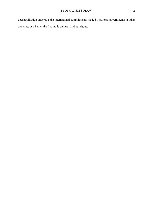decentralisation undercuts the international commitments made by national governments in other domains, or whether the finding is unique to labour rights.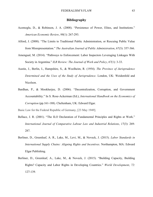# **Bibliography**

- Acemoglu, D., & Robinson, J. A. (2008). "Persistence of Power, Elites, and Institutions." *American Economic Review*, *98*(1): 267-293.
- Alford, J. (2008). "The Limits to Traditional Public Administration, or Rescuing Public Value from Misrepresentation." *The Australian Journal of Public Administration*, *67*(3): 357-366.
- Amengual, M. (2014). "Pathways to Enforcement: Labor Inspectors Leveraging Linkages With Society in Argentina." *ILR Review: The Journal of Work and Policy*, *67*(1): 3-33.
- Austin, J., Berlin, I., Hampshire, S., & Woolheim, R. (1954). *The Province of Jurisprudence Determined and the Uses of the Study of Jurisprudence*. London, UK: Weidenfeld and Nicolson.
- Bardhan, P., & Mookherjee, D. (2006). "Decentralization, Corruption, and Government Accountability." In S. Rose-Ackerman (Ed.), *International Handbook on the Economics of Corruption* (pp.161-188). Cheltenham, UK: Edward Elgar.

Basic Law for the Federal Republic of Germany, [23 May 1949].

- Bellace, J. R. (2001). "The ILO Declaration of Fundamental Principles and Rights at Work." *International Journal of Comparative Labour Law and Industrial Relations*, *17*(3): 269- 287.
- Berliner, D., Greenleaf, A. R., Lake, M., Levi, M., & Noveck, J. (2015). *Labor Standards in International Supply Chains: Aligning Rights and Incentives*. Northampton, MA: Edward Elgar Publishing.
- Berliner, D., Greenleaf, A., Lake, M., & Noveck, J. (2015). "Building Capacity, Building Rights? Capacity and Labor Rights in Developing Countries." *World Development*, *72*: 127-139.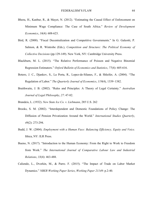- Bhora, H., Kanbur, R., & Mayet, N. (2012). "Estimating the Causal Effect of Enforcement on Minimum Wage Compliance: The Case of South Africa." *Review of Development Economics*, *16*(4): 608-623.
- Bird, R. (2000). "Fiscal Decentralization and Competitive Governments." In G. Galeotti, P. Salmon, & R. Wintrobe (Eds.), *Competition and Structure: The Political Economy of Collective Decisions* (pp.129-149). New York, NY: Cambridge University Press.
- Blackburn, M. L. (2015). "The Relative Performance of Poisson and Negative Binomial Regression Estimators." *Oxford Bulletin of Economics and Statistics*, *77*(4): 605-616.
- Botero, J. C., Djankov, S., La Porta, R., Lopez-de-Silanes, F., & Shleifer, A. (2004). "The Regulation of Labor." *The Quarterly Journal of Economics*, *119*(4), 1339–1382.
- Braithwaite, J. B. (2002). "Rules and Principles: A Theory of Legal Certainty." *Australian Journal of Legal Philosophy*, *27*: 47-82.

Brandeis, L. (1932). *New State Ice Co. v. Liebmann*, 285 U.S. 262

- Brooks, S. M. (2002). "Interdependent and Domestic Foundations of Policy Change: The Diffusion of Pension Privatization Around the World." *International Studies Quarterly*, *49*(2): 273-294.
- Budd, J. W. (2004). *Employment with a Human Face: Balancing Efficiency, Equity and Voice*. Ithica, NY: ILR Press.
- Bueno, N. (2017). "Introduction to the Human Economy: From the Right to Work to Freedom from Work." *The International Journal of Comparative Labour Law and Industrial Relations*, *33*(4): 463-488.
- Caliendo, L., Dvorkin, M., & Parro. F. (2015). "The Impact of Trade on Labor Market Dynamics." *NBER Working Paper Series*, *Working Paper 21149*: p.2-40.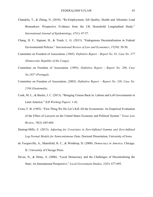- Chandola, T., & Zhang, N. (2018). "Re-Employment, Job Quality, Health and Allostatic Load Biomarkers: Prospective Evidence from the UK Household Longitudinal Study." *International Journal of Epidemiology*, *47*(1): 47-57.
- Chang, H. F., Sigman, H., & Traub, L. G. (2013). "Endogenous Decentralization in Federal Environmental Policies." *International Review of Law and Economics*, *37*(39): 39-50.
- Committee on Freedom of Association. (1965). *Definitive Report Report No. 81, Case No. 377 (Democratic Republic of the Congo)*.
- Committee on Freedom of Association. (1993). *Definitive Report Report No. 286, Case No.1657 (Portugal)*.
- Committee on Freedom of Association. (2003). *Definitive Report Report No. 330, Case No. 2194 (Guatemala).*
- Cook, M. L., & Bazler, J. C. (2013). "Bringing Unions Back in: Labour and Left Governments in Latin America." *ILR Working Papers*: 1-42.
- Cross, F. B. (1992). "First Thing We Do Let's Kill All the Economists: An Empirical Evaluation of the Effect of Lawyers on the United States Economy and Political System." *Texas Law Review*, *70*(3): 645-684.
- Dastrup-Mills, E. (2013). *Adjusting for Covariates in Zero-Inflated Gamma and Zero-Inflated Log-Normal Models for Semicontinuous Data*. Doctoral Dissertation, University of Iowa.
- de Tocqueville, A., Mansfield, H. C., & Winthrop, D. (2000). *Democracy in America*. Chicago, IL: University of Chicago Press.
- Devas, N., & Delay, S. (2006). "Local Democracy and the Challenges of Decentralising the State: An International Perspective." *Local Government Studies*, *32*(5): 677-695.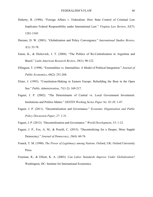- Doherty, R. (1996). "Foreign Affairs v. Federalism: How State Control of Criminal Law Implicates Federal Responsibility under International Law." *Virginia Law Review*, *82*(7): 1281-1345.
- Drezner, D. W. (2001). "Globalization and Policy Convergence." *International Studies Review*, *3*(1): 53-78.
- Eaton, K., & Dickovick, J. T. (2004). "The Politics of Re-Centralization in Argentina and Brazil." *Latin American Research Review*, *39*(1): 90-122.
- Ellingsen, T. (1998). "Externalities vs. Internalities: A Model of Political Integration." *Journal of Public Economics*, *68*(2): 251-268.
- Elster, J. (1993). "Constitution-Making in Eastern Europe: Rebuilding the Boat in the Open Sea." *Public Administration*, *71*(1-2): 169-217.
- Faguet, J. P. (2002). "The Determinants of Central vs. Local Government Investment: Institutions and Politics Matter." *DESTIN Working Series Paper No. 02-38*: 1-47.
- Faguet, J. P. (2011). "Decentralization and Governance." *Economic Organisation and Public Policy Discussion Paper*, *27*: 1-31.
- Faguet, J. P. (2013). "Decentralization and Governance." *World Development*, *53*: 1-12.
- Faguet, J. P., Fox, A. M., & Poschl, C. (2015). "Decentralizing for a Deeper, More Supple Democracy." *Journal of Democracy*, *26*(4): 60-74.
- Franck, T. M. (1990). *The Power of Legitimacy among Nations*. Oxford, UK: Oxford University Press.
- Freeman, R., & Elliott, K. A. (2003). *Can Labor Standards Improve Under Globalization?* Washington, DC: Institute for International Economics.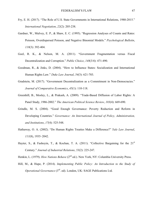- Fry, E. H. (2017). "The Role of U.S. State Governments in International Relations, 1980-2015." *International Negotiation*, *22*(2): 205-238.
- Gardner, W., Mulvey, E. P., & Shaw, E. C. (1995). "Regression Analyses of Counts and Rates: Poisson, Overdispersed Poisson, and Negative Binomial Models." *Psychological Bulletin*, *118*(3): 392-404.
- Goel, R. K., & Nelson, M. A. (2011). "Government Fragmentation versus Fiscal Decentralization and Corruption." *Public Choice*, *148*(3/4): 471-490.
- Goodman, R., & Jinks, D. (2004). "How to Influence States: Socialization and International Human Rights Law." *Duke Law Journal*, *54*(3): 621-703.
- Gradstein, M. (2017). "Government Decentralization as a Commitment in Non-Democracies." *Journal of Comparative Economics*, *45*(1): 110-118.
- Greenhill, B., Mosley, L., & Prakash, A. (2009). "Trade-Based Diffusion of Labor Rights: A Panel Study, 1986-2002." *The American Political Science Review*, *103*(4): 669-690.
- Grindle, M. S. (2004). "Good Enough Governance: Poverty Reduction and Reform in Developing Countries." *Governance: An International Journal of Policy, Administration, and Institutions*, *17*(4): 525-548.
- Hathaway, O. A. (2002). "Do Human Rights Treaties Make a Difference?" *Yale Law Journal*, *111*(8), 1935–2042.
- Hayter, S., & Fashoyin, T., & Kochan, T. A. (2011). "Collective Bargaining for the 21<sup>st</sup> Century." *Journal of Industrial Relations*, *53*(2): 225-247.

Henkin, L. (1979). *How Nations Behave* (2<sup>nd</sup> ed.). New York, NY: Columbia University Press.

Hill, M., & Hupe, P. (2014). *Implementing Public Policy: An Introduction to the Study of Operational Governance* (3rd. ed). London, UK: SAGE Publications Ltd.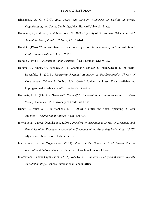- Hirschman, A. O. (1970). *Exit, Voice, and Loyalty: Responses to Decline in Firms, Organizations, and States*. Cambridge, MA: Harvard University Press.
- Holmberg, S., Rothstein, B., & Nasiritousi, N. (2009). "Quality of Government: What You Get." *Annual Review of Political Science*, *12*: 135-161.
- Hood, C. (1974). "Administrative Diseases: Some Types of Dysfunctionality in Administration." *Public Administration*, *52*(4): 439-454.

Hood, C. (1976). *The Limits of Administration* (1<sup>st</sup> ed.). London, UK: Wiley.

- Hooghe, L., Marks, G., Schakel, A. H., Chapman-Osterkatz, S., Niedzwiecki, S., & Shair-Rosenfeld, S. (2016). *Measuring Regional Authority: A Postfunctionalist Theory of Governance, Volume I*. Oxford, UK: Oxford University Press. Data available at: http://garymarks.web.unc.edu/data/regional-authority/.
- Horowitz, D. L. (1991). *A Democratic South Africa? Constitutional Engineering in a Divided Society*. Berkeley, CA: University of California Press.
- Huber, E., Mustillo, T., & Stephens, J. D. (2008). "Politics and Social Spending in Latin America." *The Journal of Politics*, *70*(2): 420-436.
- International Labour Organisation. (2006). *Freedom of Association: Digest of Decisions and Principles of the Freedom of Association Committee of the Governing Body of the ILO* (5<sup>th</sup>) ed). Geneva: International Labour Office.
- International Labour Organisation. (2014). *Rules of the Game: A Brief Introduction to International Labour Standards*. Geneva: International Labour Office.
- International Labour Organisation. (2015). *ILO Global Estimates on Migrant Workers: Results and Methodology*. Geneva: International Labour Office.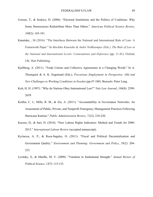- Iversen, T., & Soskice, D. (2006). "Electoral Institutions and the Politics of Coalitions: Why Some Democracies Redistribute More Than Others." *American Political Science Review*, *100*(2): 165-181.
- Kanetake, , M (2016). "The Interfaces Between the National and International Rule of Law: A Framework Paper." In *Machiko Kanetake & André Nollkaemper (Eds.), The Rule of Law at the National and International Levels: Contestations and Deference* (pp. 11-41). Oxford, UK: Hart Publishing.
- Kjellberg, A. (2011). "Trade Unions and Collective Agreements in a Changing World." In A. Thornquist & A. K. Engstrand (Eds.), *Precarious Employment in Perspective: Old and New Challenges to Working Conditions in Sweden* (pp.47-100). Brussels: Peter Lang.
- Koh, H. H. (1997). "Why do Nations Obey International Law?" *Yale Law Journal*, *106*(8): 2599- 2659.
- Koliba, C. J., Mills, R. M., & Zia, A. (2011). "Accountability in Governance Networks: An Assessment of Public, Private, and Nonprofit Emergency Management Practices Following Hurricane Katrina." *Public Administration Review*, *71*(2): 210-220.
- Kucera, D., & Sari, D. (2018). "New Labour Rights Indicators: Method and Trends for 2000- 2015." *International Labour Review* (accepted manuscript).
- Kyriacou, A. P., & Roca-Sagales, O. (2011). "Fiscal and Political Decentralization and Government Quality." *Environment and Planning: Government and Policy*, *29*(2): 204- 223.
- Levitsky, S., & Murillo, M. V. (2009). "Variation in Institutional Strength." *Annual Review of Political Science*, *12*(7): 115-133.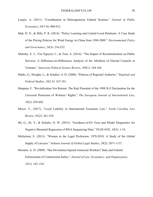- Loeper, A. (2011). "Coordination in Heterogeneous Federal Systems." *Journal of Public Economics*, *95*(7-8): 900-912.
- Mah, D. N., & Hills, P. R. (2014). "Policy Learning and Central-Local Relations: A Case Study of the Pricing Policies for Wind Energy in China from 1994-2009." *Environmental Policy and Governance*, *24*(3): 216-232.
- Malesky, E. J., Viet Nguyen, C., & Tran, A. (2014). "The Impact of Recentralization on Public Services: A Difference-in-Differences Analysis of the Abolition of Elected Councils in Vietnam." *American Political Science Review*, *108*(1): 144-168.
- Marks, G., Hooghe, L., & Schakel, A. H. (2008). "Patterns of Regional Authority." *Regional and Federal Studies*, *18*(2-3): 167-181.
- Maupain, F. "Revitalization Not Retreat: The Real Potential of the 1998 ILO Declaration for the Universal Protection of Workers' Rights." *The European Journal of International Law*, *16*(3): 439-465.
- Meyer, T., (2017). "Local Liability in International Economic Law." *North Carolina Law Review*, *95*(2): 261-338.
- Mi, G., Di, Y., & Schafer, D. W. (2015). "Goodness-of-Fit Tests and Model Diagnostics for Negative Binomial Regression of RNA Sequencing Data." *PLOS ONE*, *10*(3): 1-16.
- Michelson, E. (2013). "Women in the Legal Profession, 1970-2010: A Study of the Global Supply of Lawyers." *Indiana Journal of Global Legal Studies*, *20*(2): 2071-1137.
- Morantz, A. D. (2009). "Has Devolution Injured American Workers? State and Federal Enforcement of Construction Safety." *Journal of Law, Economics, and Organization*, *25*(1): 183–210.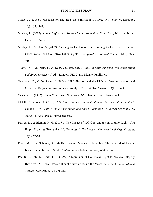- Mosley, L. (2005). "Globalisation and the State: Still Room to Move?" *New Political Economy*, *10*(3): 355-362.
- Mosley, L. (2010). *Labor Rights and Multinational Production*. New York, NY: Cambridge University Press.
- Mosley, L., & Uno, S. (2007). "Racing to the Bottom or Climbing to the Top? Economic Globalization and Collective Labor Rights." *Comparative Political Studies*, *40*(8): 923- 948.
- Myers, D. J., & Dietz, H. A. (2002). *Capital City Politics in Latin America: Democratization*  and *Empowerment* (1<sup>st</sup> ed.). London, UK: Lynne Rienner Publishers.
- Neumayer, E., & De Soysa, I. (2006). "Globalization and the Right to Free Association and Collective Bargaining: An Empirical Analysis." *World Development*, *34*(1): 31-49.

Oates, W. E. (1972). *Fiscal Federalism*. New York, NY: Harcourt Brace Jovanovich.

- OECD, & Visser, J. (2018). *ICTWSS: Database on Institutional Characteristics of Trade Unions, Wage Setting, State Intervention and Social Pacts in 51 countries between 1960 and 2014*. Available at: stats.oecd.org/.
- Peksen, D., & Blanton, R. G. (2017). "The Impact of ILO Conventions on Worker Rights: Are Empty Promises Worse than No Promises?" *The Review of International Organizations*, *12*(1): 75-94.
- Piore, M. J., & Schrank, A. (2008). "Toward Managed Flexibility: The Revival of Labour Inspection in the Latin World." *International Labour Review*, *147*(1): 1-23.
- Poe, S. C., Tate, N., Keith, L. C. (1999). "Repression of the Human Right to Personal Integrity Revisited: A Global Cross-National Study Covering the Years 1976-1993." *International Studies Quarterly*, *43*(2): 291-313.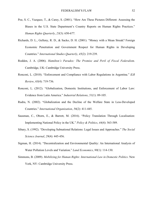- Poe, S. C., Vazquez, T., & Carey, S. (2001). "How Are These Pictures Different: Assessing the Biases in the U.S. State Department's Country Reports on Human Rights Practices." *Human Rights Quarterly*, *23*(3): 650-677.
- Richards, D. L., Gelleny, R. D., & Sacko, D. H. (2001). "Money with a Mean Streak? Foreign Economic Penetration and Government Respect for Human Rights in Developing Countries." *International Studies Quarterly*, *45*(2): 219-239.
- Rodden, J. A. (2006). *Hamilton's Paradox: The Promise and Peril of Fiscal Federalism*. Cambridge, UK: Cambridge University Press.
- Ronconi, L. (2010). "Enforcement and Compliance with Labor Regulations in Argentina." *ILR Review*, *63*(4): 719-736.
- Ronconi, L. (2012). "Globalization, Domestic Institutions, and Enforcement of Labor Law: Evidence from Latin America." *Industrial Relations*, *51*(1): 89-105.
- Rudra, N. (2002). "Globalization and the Decline of the Welfare State in Less-Developed Countries." *International Organization*, *56*(2): 411-445.
- Sausman, C., Oborn, E., & Barrett, M. (2016). "Policy Translation Through Localisation: Implementing National Policy in the UK." *Policy & Politics*, *44*(4): 563-589.
- Sibary, S. (1992). "Developing Subnational Relations: Legal Issues and Approaches." *The Social Science Journal*, *29*(4): 445-456.
- Sigman, H. (2014). "Decentralization and Environmental Quality: An International Analysis of Water Pollution Levels and Variation." *Land Economics*, *90*(1): 114-130.
- Simmons, B. (2009). *Mobilizing for Human Rights: International Law in Domestic Politics*. New York, NY: Cambridge University Press.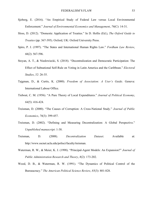- Sjoberg, E. (2016). "An Empirical Study of Federal Law versus Local Environmental Enforcement." *Journal of Environmental Economics and Management*, *76*(C): 14-31.
- Sloss, D. (2012). "Domestic Application of Treaties." In D. Hollis (Ed.), *The Oxford Guide to Treaties* (pp. 367-395). Oxford, UK: Oxford University Press.
- Spiro, P. J. (1997). "The States and International Human Rights Law." *Fordham Law Review*, *66*(2): 567-596.
- Stoyan, A. T., & Niedzwiecki, S. (2018). "Decentralization and Democratic Participation: The Effect of Subnational Self-Rule on Voting in Latin America and the Caribbean." *Electoral Studies*, *52*: 26-35.
- Tajgman, D., & Curtis, K. (2000). *Freedom of Association: A User's Guide*. Geneva: International Labour Office.
- Tiebout, C. M. (1956). "A Pure Theory of Local Expenditures." *Journal of Political Economy*, *64*(5): 416-424.
- Treisman, D. (2000). "The Causes of Corruption: A Cross-National Study." *Journal of Public Economics*, *76*(3): 399-457.
- Treisman, D. (2002). "Defining and Measuring Decentralization: A Global Perspective." *Unpublished manuscript*: 1-38.
- Treisman, D. (2008). *Decentralization Dataset*. Available at: http://www.sscnet.ucla.edu/polisci/faculty/treisman.
- Waterman, R. W., & Meier, K. J. (1998). "Principal-Agent Models: An Expansion?" *Journal of Public Administration Research and Theory*, *8*(2): 173-202.
- Wood, D. B., & Waterman, R. W. (1991). "The Dynamics of Political Control of the Bureaucracy." *The American Political Science Review*, *85*(3): 801-828.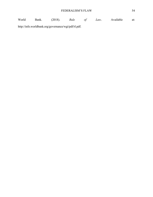World Bank. (2018). *Rule of Law*. Available at: http://info.worldbank.org/governance/wgi/pdf/rl.pdf.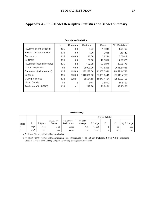# **Appendix A - Full Model Descriptive Statistics and Model Summary**

|                                   | Ν   | Minimum  | Maximum    | Mean       | Std. Deviation |
|-----------------------------------|-----|----------|------------|------------|----------------|
| FACB Violations (logged)          | 135 | .00      | 4.32       | 1.4045     | 1.04709        |
| <b>Political Decentralisation</b> | 135 | .00      | 1.00       | .2035      | .40442         |
| Democracy                         | 135 | $-10.00$ | 10.00      | 3.6744     | 6.00619        |
| Left Party                        | 135 | .00      | 58.00      | 17.3897    | 14.91565       |
| FACB Ratification (in years)      | 135 | .00      | 137.00     | 83.8971    | 39.80476       |
| Labour Inspectors                 | 94  | 6.00     | 25000.00   | 743.8298   | 2666.81858     |
| Employees (in thousands)          | 135 | 115.00   | 485287.00  | 12407.2941 | 44857.14726    |
| Lawyers                           | 135 | 220.00   | 1040000.00 | 35651.0441 | 105811.4798    |
| GDP (per capita)                  | 134 | 500.51   | 55564.15   | 10847.4424 | 10908.93797    |
| Union Density                     | 86  | .2       | 90.4       | 22.510     | 18.5120        |
| Trade (as a % of GDP)             | 134 | .41      | 247.80     | 75.8421    | 38.93486       |
|                                   |     |          |            |            |                |

# **Descriptive Statistics**

#### **Model Summary**

|       |                   |          |            |               |          |          | Change Statistics |     |               |
|-------|-------------------|----------|------------|---------------|----------|----------|-------------------|-----|---------------|
|       |                   |          | Adiusted R | Std. Error of | R Square |          |                   |     |               |
| Model |                   | R Square | Square     | the Estimate  | Change   | F Change | df1               | df2 | Sig. F Change |
|       | $419^a$           | 176      | 163        | .95769        | 176      | 14.091   |                   | 66  | .000          |
|       | .625 <sup>b</sup> | .391     | 284        | 88575         | .215     | 2.240    |                   | 57  | .032          |

a. Predictors: (Constant), Political Decentralisation

b. Predictors: (Constant), Political Decentralisation, FACB Ratification (in years), Left Party, Trade (as a % of GDP), GDP (per capita), Labour Inspectors, Union Density, Lawyers, Democracy, Employees (in thousands)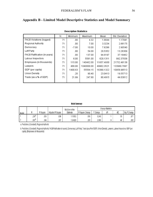|                              | Ν  | Minimum | Maximum    | Mean       | Std. Deviation |
|------------------------------|----|---------|------------|------------|----------------|
| FACB Violations (logged)     | 71 | .00     | 4.32       | 1.6644     | 1.17841        |
| Regional Authority           | 71 | .00     | 7.00       | 3.3234     | 2.66175        |
| Democracy                    | 71 | $-7.00$ | 10.00      | 7.8286     | 2.90540        |
| Left Party                   | 71 | .00     | 54.00      | 20.5352    | 13.26309       |
| FACB Ratification (in years) | 71 | .00     | 137.00     | 94.6197    | 37.18462       |
| Labour Inspectors            | 71 | 6.00    | 5581.00    | 620.1311   | 992.37838      |
| Employees (in thousands)     | 71 | 115.00  | 140462.00  | 11657.4930 | 21752.48138    |
| Lawyers                      | 71 | 466.00  | 1040000.00 | 49902.3521 | 133980.7687    |
| GDP (per capita)             | 71 | 1400.63 | 55564.15   | 16380.1322 | 10958.98513    |
| Union Density                | 71 | .20     | 90.40      | 23.0413    | 19.55713       |
| Trade (as a % of GDP)        | 71 | 21.99   | 247.80     | 80.4915    | 44.03812       |
|                              |    |         |            |            |                |

# **Appendix B - Limited Model Descriptive Statistics and Model Summary**

**Descriptive Statistics** 

#### **Model Summary**

|       |                   |          |                   | Std. Error of the |                 |        | Change Statistics |              |               |
|-------|-------------------|----------|-------------------|-------------------|-----------------|--------|-------------------|--------------|---------------|
| Model |                   | R Square | Adjusted R Square | Estimate          | R Square Change | Change | df1               | 1,679<br>uız | Sig<br>Change |
|       | .236ª             | .056     | .038              | .15552            | .056            | 3.240  |                   | 55<br>JJ     | .077          |
| C.    | .591 <sup>b</sup> | .349     | .207              | .04929            | .293            | 2.300  |                   | 46           | .032          |

a. Predictors: (Constant), Regional Authority

b. Predictors: (Constant), Regional Authority, FACB Ratification (in years), Democracy, Left Party, Trade (as a % of GDP), Union Density, Lawyers, Labour Inspectors, GDP (per capita), Employees (in thousands)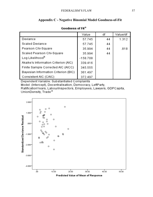| www.caa vr.ru                        |            |    |          |
|--------------------------------------|------------|----|----------|
|                                      | Value      | df | Value/df |
| Deviance                             | 57.745     | 44 | 1.312    |
| <b>Scaled Deviance</b>               | 57.745     | 44 |          |
| Pearson Chi-Square                   | 35.994     | 44 | .818     |
| Scaled Pearson Chi-Square            | 35.994     | 44 |          |
| Log Likelihood <sup>b</sup>          | $-158.708$ |    |          |
| Akaike's Information Criterion (AIC) | 339.416    |    |          |
| Finite Sample Corrected AIC (AICC)   | 345.555    |    |          |
| Bayesian Information Criterion (BIC) | 361.497    |    |          |
| Consistent AIC (CAIC)                | 372.497    |    |          |

# **Appendix C - Negative Binomial Model Goodness-of-Fit**

# Goodness of Fit<sup>a</sup>

Dependent Variable: Substantiated Complaints

Model: (Intercept), Decentralisation, Democracy, LeftParty,

RatificationYears, LabourInspectors, Employees, Lawyers, GDPCapita, UnionDensity, Trade<sup>a</sup>



Predicted Value of Mean of Response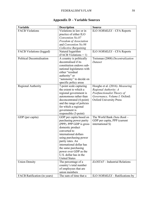| Variable                          | <b>Description</b>         | <b>Source</b>                             |
|-----------------------------------|----------------------------|-------------------------------------------|
| <b>FACB Violations</b>            | Violations in law or in    | ILO NORMLEX – CFA Reports                 |
|                                   | practice of either ILO     |                                           |
|                                   | Convention No.87           |                                           |
|                                   | Freedom of Association     |                                           |
|                                   | and Convention No.98       |                                           |
|                                   | Collective Bargaining      |                                           |
| <b>FACB</b> Violations (logged)   | Natural logarithm          | ILO NORMLEX – CFA Reports                 |
|                                   | $(FACB Violations + 1)$    |                                           |
| <b>Political Decentralisation</b> | A country is politically   | Treisman (2008) Decentralization          |
|                                   | decentralised if its       | Dataset                                   |
|                                   | constitution endows sub-   |                                           |
|                                   | national legislatures with |                                           |
|                                   | either "residual           |                                           |
|                                   | authority" or              |                                           |
|                                   | "autonomy" to decide on    |                                           |
|                                   | specific policy areas      |                                           |
| <b>Regional Authority</b>         | 7-point scale capturing    | Hooghe et al. (2016). Measuring           |
|                                   | the extent to which a      | Regional Authority: A                     |
|                                   | regional government is     | Postfunctionalist Theory of               |
|                                   | autonomous rather than     | Governance, Volume I. Oxford:             |
|                                   | deconcentrated (4-point)   | <b>Oxford University Press</b>            |
|                                   | and the range of policies  |                                           |
|                                   | for which a regional       |                                           |
|                                   | government is              |                                           |
|                                   | responsible (3-point)      |                                           |
| GDP (per capita)                  | GDP per capita based on    | The World Bank Data Bank -                |
|                                   | purchasing power parity    | GDP per capita, PPP (current              |
|                                   | (PPP). PPP GDP is gross    | international \$)                         |
|                                   | domestic product           |                                           |
|                                   | converted to               |                                           |
|                                   | international dollars      |                                           |
|                                   | using purchasing power     |                                           |
|                                   | parity rates. An           |                                           |
|                                   | international dollar has   |                                           |
|                                   | the same purchasing        |                                           |
|                                   | power over GDP as the      |                                           |
|                                   | U.S. dollar has in the     |                                           |
|                                   | <b>United States</b>       |                                           |
| <b>Union Density</b>              | The percentage of a        | $\textit{ILOSTAT}$ – Industrial Relations |
|                                   | country's total number     |                                           |
|                                   | of employees that are      |                                           |
|                                   | union members              |                                           |
| FACB Ratification (in years)      | The sum of time that a     | ILO NORMLEX - Ratifications by            |
|                                   |                            |                                           |

# **Appendix D – Variable Sources**